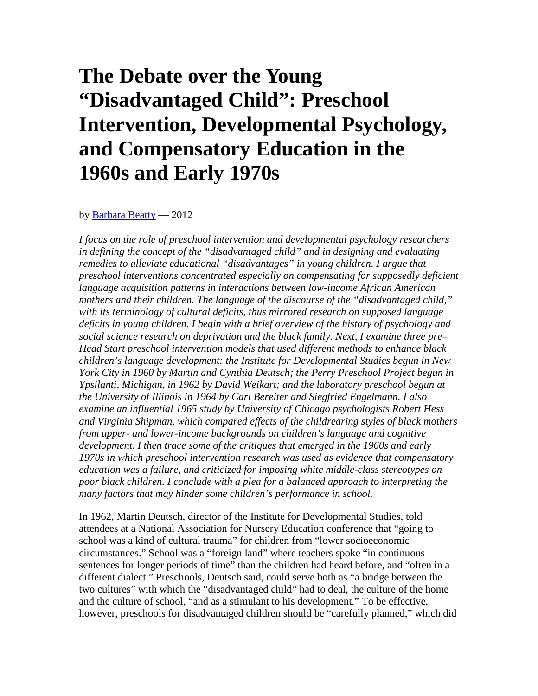# **The Debate over the Young "Disadvantaged Child": Preschool Intervention, Developmental Psychology, and Compensatory Education in the 1960s and Early 1970s**

by **Barbara Beatty** - 2012

*I focus on the role of preschool intervention and developmental psychology researchers in defining the concept of the "disadvantaged child" and in designing and evaluating remedies to alleviate educational "disadvantages" in young children. I argue that preschool interventions concentrated especially on compensating for supposedly deficient language acquisition patterns in interactions between low-income African American mothers and their children. The language of the discourse of the "disadvantaged child," with its terminology of cultural deficits, thus mirrored research on supposed language deficits in young children. I begin with a brief overview of the history of psychology and social science research on deprivation and the black family. Next, I examine three pre– Head Start preschool intervention models that used different methods to enhance black children's language development: the Institute for Developmental Studies begun in New York City in 1960 by Martin and Cynthia Deutsch; the Perry Preschool Project begun in Ypsilanti, Michigan, in 1962 by David Weikart; and the laboratory preschool begun at the University of Illinois in 1964 by Carl Bereiter and Siegfried Engelmann. I also examine an influential 1965 study by University of Chicago psychologists Robert Hess and Virginia Shipman, which compared effects of the childrearing styles of black mothers from upper- and lower-income backgrounds on children's language and cognitive development. I then trace some of the critiques that emerged in the 1960s and early 1970s in which preschool intervention research was used as evidence that compensatory education was a failure, and criticized for imposing white middle-class stereotypes on poor black children. I conclude with a plea for a balanced approach to interpreting the many factors that may hinder some children's performance in school.*

In 1962, Martin Deutsch, director of the Institute for Developmental Studies, told attendees at a National Association for Nursery Education conference that "going to school was a kind of cultural trauma" for children from "lower socioeconomic circumstances." School was a "foreign land" where teachers spoke "in continuous sentences for longer periods of time" than the children had heard before, and "often in a different dialect." Preschools, Deutsch said, could serve both as "a bridge between the two cultures" with which the "disadvantaged child" had to deal, the culture of the home and the culture of school, "and as a stimulant to his development." To be effective, however, preschools for disadvantaged children should be "carefully planned," which did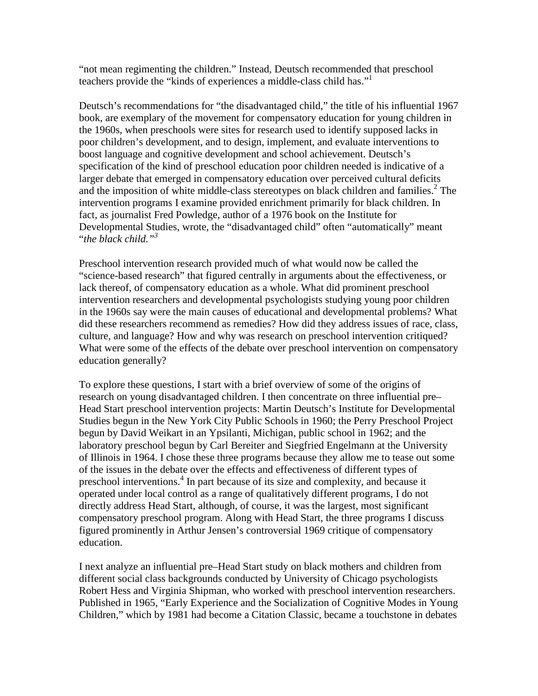"not mean regimenting the children." Instead, Deutsch recommended that preschool teachers provide the "kinds of experiences a middle-class child has."1

Deutsch's recommendations for "the disadvantaged child," the title of his influential 1967 book, are exemplary of the movement for compensatory education for young children in the 1960s, when preschools were sites for research used to identify supposed lacks in poor children's development, and to design, implement, and evaluate interventions to boost language and cognitive development and school achievement. Deutsch's specification of the kind of preschool education poor children needed is indicative of a larger debate that emerged in compensatory education over perceived cultural deficits and the imposition of white middle-class stereotypes on black children and families.<sup>2</sup> The intervention programs I examine provided enrichment primarily for black children. In fact, as journalist Fred Powledge, author of a 1976 book on the Institute for Developmental Studies, wrote, the "disadvantaged child" often "automatically" meant "*the black child."<sup>3</sup>*

Preschool intervention research provided much of what would now be called the "science-based research" that figured centrally in arguments about the effectiveness, or lack thereof, of compensatory education as a whole. What did prominent preschool intervention researchers and developmental psychologists studying young poor children in the 1960s say were the main causes of educational and developmental problems? What did these researchers recommend as remedies? How did they address issues of race, class, culture, and language? How and why was research on preschool intervention critiqued? What were some of the effects of the debate over preschool intervention on compensatory education generally?

To explore these questions, I start with a brief overview of some of the origins of research on young disadvantaged children. I then concentrate on three influential pre– Head Start preschool intervention projects: Martin Deutsch's Institute for Developmental Studies begun in the New York City Public Schools in 1960; the Perry Preschool Project begun by David Weikart in an Ypsilanti, Michigan, public school in 1962; and the laboratory preschool begun by Carl Bereiter and Siegfried Engelmann at the University of Illinois in 1964. I chose these three programs because they allow me to tease out some of the issues in the debate over the effects and effectiveness of different types of preschool interventions.<sup>4</sup> In part because of its size and complexity, and because it operated under local control as a range of qualitatively different programs, I do not directly address Head Start, although, of course, it was the largest, most significant compensatory preschool program. Along with Head Start, the three programs I discuss figured prominently in Arthur Jensen's controversial 1969 critique of compensatory education.

I next analyze an influential pre–Head Start study on black mothers and children from different social class backgrounds conducted by University of Chicago psychologists Robert Hess and Virginia Shipman, who worked with preschool intervention researchers. Published in 1965, "Early Experience and the Socialization of Cognitive Modes in Young Children," which by 1981 had become a Citation Classic, became a touchstone in debates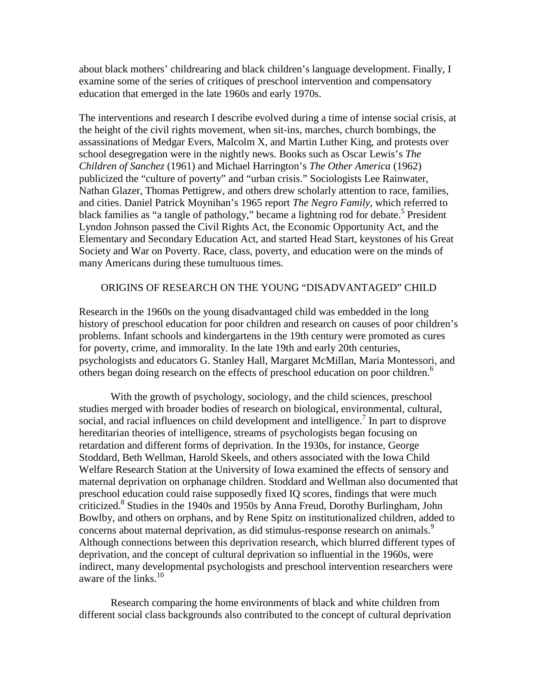about black mothers' childrearing and black children's language development. Finally, I examine some of the series of critiques of preschool intervention and compensatory education that emerged in the late 1960s and early 1970s.

The interventions and research I describe evolved during a time of intense social crisis, at the height of the civil rights movement, when sit-ins, marches, church bombings, the assassinations of Medgar Evers, Malcolm X, and Martin Luther King, and protests over school desegregation were in the nightly news. Books such as Oscar Lewis's *The Children of Sanchez* (1961) and Michael Harrington's *The Other America* (1962) publicized the "culture of poverty" and "urban crisis." Sociologists Lee Rainwater, Nathan Glazer, Thomas Pettigrew, and others drew scholarly attention to race, families, and cities. Daniel Patrick Moynihan's 1965 report *The Negro Family*, which referred to black families as "a tangle of pathology," became a lightning rod for debate.<sup>5</sup> President Lyndon Johnson passed the Civil Rights Act, the Economic Opportunity Act, and the Elementary and Secondary Education Act, and started Head Start, keystones of his Great Society and War on Poverty. Race, class, poverty, and education were on the minds of many Americans during these tumultuous times.

#### ORIGINS OF RESEARCH ON THE YOUNG "DISADVANTAGED" CHILD

Research in the 1960s on the young disadvantaged child was embedded in the long history of preschool education for poor children and research on causes of poor children's problems. Infant schools and kindergartens in the 19th century were promoted as cures for poverty, crime, and immorality. In the late 19th and early 20th centuries, psychologists and educators G. Stanley Hall, Margaret McMillan, Maria Montessori, and others began doing research on the effects of preschool education on poor children.<sup>6</sup>

With the growth of psychology, sociology, and the child sciences, preschool studies merged with broader bodies of research on biological, environmental, cultural, social, and racial influences on child development and intelligence.<sup>7</sup> In part to disprove hereditarian theories of intelligence, streams of psychologists began focusing on retardation and different forms of deprivation. In the 1930s, for instance, George Stoddard, Beth Wellman, Harold Skeels, and others associated with the Iowa Child Welfare Research Station at the University of Iowa examined the effects of sensory and maternal deprivation on orphanage children. Stoddard and Wellman also documented that preschool education could raise supposedly fixed IQ scores, findings that were much criticized.<sup>8</sup> Studies in the 1940s and 1950s by Anna Freud, Dorothy Burlingham, John Bowlby, and others on orphans, and by Rene Spitz on institutionalized children, added to concerns about maternal deprivation, as did stimulus-response research on animals.<sup>9</sup> Although connections between this deprivation research, which blurred different types of deprivation, and the concept of cultural deprivation so influential in the 1960s, were indirect, many developmental psychologists and preschool intervention researchers were aware of the links.<sup>10</sup>

Research comparing the home environments of black and white children from different social class backgrounds also contributed to the concept of cultural deprivation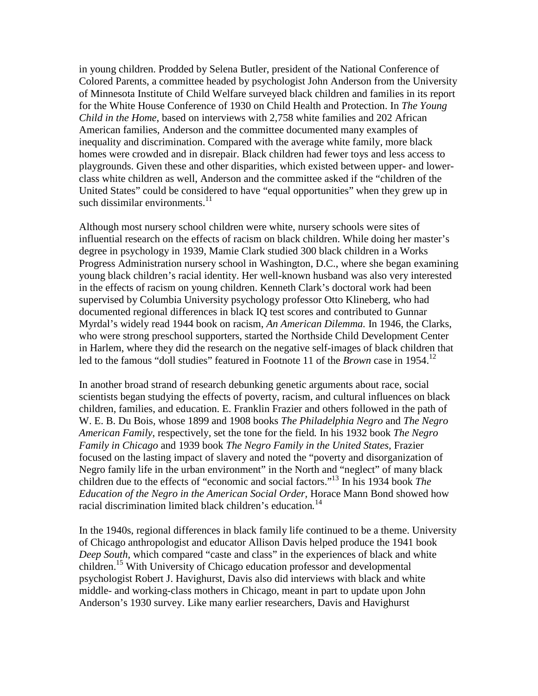in young children. Prodded by Selena Butler, president of the National Conference of Colored Parents, a committee headed by psychologist John Anderson from the University of Minnesota Institute of Child Welfare surveyed black children and families in its report for the White House Conference of 1930 on Child Health and Protection. In *The Young Child in the Home,* based on interviews with 2,758 white families and 202 African American families, Anderson and the committee documented many examples of inequality and discrimination. Compared with the average white family, more black homes were crowded and in disrepair. Black children had fewer toys and less access to playgrounds. Given these and other disparities, which existed between upper- and lowerclass white children as well, Anderson and the committee asked if the "children of the United States" could be considered to have "equal opportunities" when they grew up in such dissimilar environments. $11$ 

Although most nursery school children were white, nursery schools were sites of influential research on the effects of racism on black children. While doing her master's degree in psychology in 1939, Mamie Clark studied 300 black children in a Works Progress Administration nursery school in Washington, D.C., where she began examining young black children's racial identity. Her well-known husband was also very interested in the effects of racism on young children. Kenneth Clark's doctoral work had been supervised by Columbia University psychology professor Otto Klineberg, who had documented regional differences in black IQ test scores and contributed to Gunnar Myrdal's widely read 1944 book on racism, *An American Dilemma.* In 1946, the Clarks, who were strong preschool supporters, started the Northside Child Development Center in Harlem, where they did the research on the negative self-images of black children that led to the famous "doll studies" featured in Footnote 11 of the *Brown* case in 1954.<sup>12</sup>

In another broad strand of research debunking genetic arguments about race, social scientists began studying the effects of poverty, racism, and cultural influences on black children, families, and education. E. Franklin Frazier and others followed in the path of W. E. B. Du Bois, whose 1899 and 1908 books *The Philadelphia Negro* and *The Negro American Family*, respectively, set the tone for the field*.* In his 1932 book *The Negro Family in Chicago* and 1939 book *The Negro Family in the United States,* Frazier focused on the lasting impact of slavery and noted the "poverty and disorganization of Negro family life in the urban environment" in the North and "neglect" of many black children due to the effects of "economic and social factors."13 In his 1934 book *The Education of the Negro in the American Social Order,* Horace Mann Bond showed how racial discrimination limited black children's education*.* 14

In the 1940s, regional differences in black family life continued to be a theme. University of Chicago anthropologist and educator Allison Davis helped produce the 1941 book *Deep South,* which compared "caste and class" in the experiences of black and white children.15 With University of Chicago education professor and developmental psychologist Robert J. Havighurst, Davis also did interviews with black and white middle- and working-class mothers in Chicago, meant in part to update upon John Anderson's 1930 survey. Like many earlier researchers, Davis and Havighurst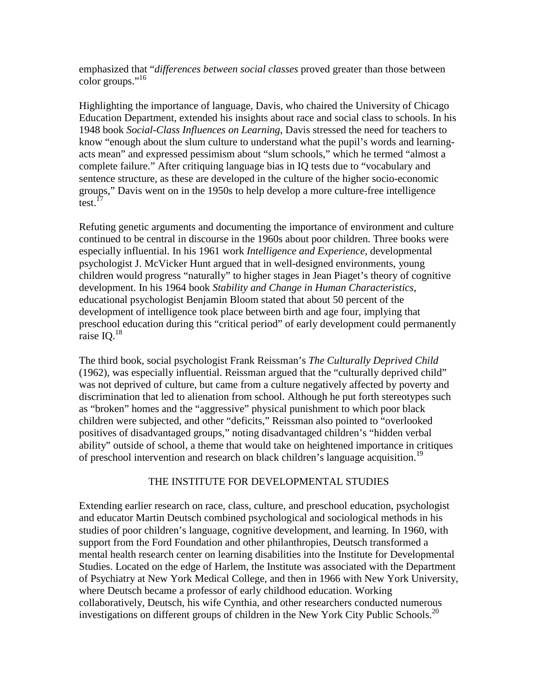emphasized that "*differences between social classes* proved greater than those between color groups."<sup>16</sup>

Highlighting the importance of language, Davis, who chaired the University of Chicago Education Department, extended his insights about race and social class to schools. In his 1948 book *Social-Class Influences on Learning*, Davis stressed the need for teachers to know "enough about the slum culture to understand what the pupil's words and learningacts mean" and expressed pessimism about "slum schools," which he termed "almost a complete failure." After critiquing language bias in IQ tests due to "vocabulary and sentence structure, as these are developed in the culture of the higher socio-economic groups," Davis went on in the 1950s to help develop a more culture-free intelligence test. $^{17}$ 

Refuting genetic arguments and documenting the importance of environment and culture continued to be central in discourse in the 1960s about poor children. Three books were especially influential. In his 1961 work *Intelligence and Experience,* developmental psychologist J. McVicker Hunt argued that in well-designed environments, young children would progress "naturally" to higher stages in Jean Piaget's theory of cognitive development. In his 1964 book *Stability and Change in Human Characteristics*, educational psychologist Benjamin Bloom stated that about 50 percent of the development of intelligence took place between birth and age four, implying that preschool education during this "critical period" of early development could permanently raise IQ. $^{18}$ 

The third book, social psychologist Frank Reissman's *The Culturally Deprived Child* (1962), was especially influential. Reissman argued that the "culturally deprived child" was not deprived of culture, but came from a culture negatively affected by poverty and discrimination that led to alienation from school. Although he put forth stereotypes such as "broken" homes and the "aggressive" physical punishment to which poor black children were subjected, and other "deficits," Reissman also pointed to "overlooked positives of disadvantaged groups," noting disadvantaged children's "hidden verbal ability" outside of school, a theme that would take on heightened importance in critiques of preschool intervention and research on black children's language acquisition.<sup>19</sup>

## THE INSTITUTE FOR DEVELOPMENTAL STUDIES

Extending earlier research on race, class, culture, and preschool education, psychologist and educator Martin Deutsch combined psychological and sociological methods in his studies of poor children's language, cognitive development, and learning. In 1960, with support from the Ford Foundation and other philanthropies, Deutsch transformed a mental health research center on learning disabilities into the Institute for Developmental Studies. Located on the edge of Harlem, the Institute was associated with the Department of Psychiatry at New York Medical College, and then in 1966 with New York University, where Deutsch became a professor of early childhood education. Working collaboratively, Deutsch, his wife Cynthia, and other researchers conducted numerous investigations on different groups of children in the New York City Public Schools.<sup>20</sup>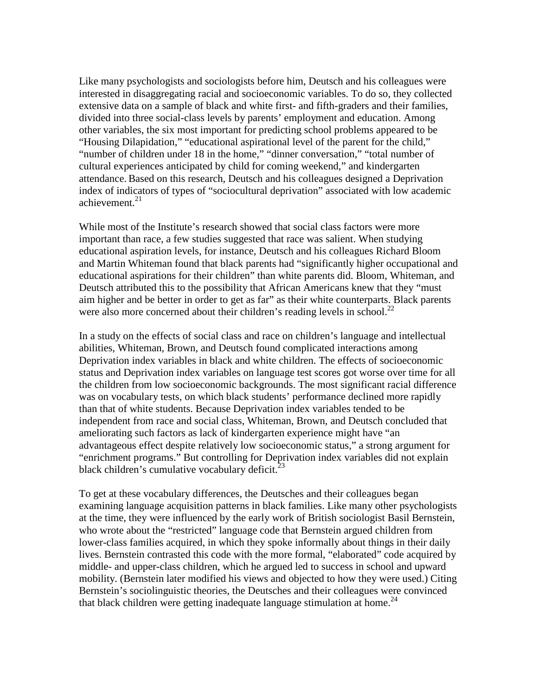Like many psychologists and sociologists before him, Deutsch and his colleagues were interested in disaggregating racial and socioeconomic variables. To do so, they collected extensive data on a sample of black and white first- and fifth-graders and their families, divided into three social-class levels by parents' employment and education. Among other variables, the six most important for predicting school problems appeared to be "Housing Dilapidation," "educational aspirational level of the parent for the child," "number of children under 18 in the home," "dinner conversation," "total number of cultural experiences anticipated by child for coming weekend," and kindergarten attendance. Based on this research, Deutsch and his colleagues designed a Deprivation index of indicators of types of "sociocultural deprivation" associated with low academic achievement $^{21}$ 

While most of the Institute's research showed that social class factors were more important than race, a few studies suggested that race was salient. When studying educational aspiration levels, for instance, Deutsch and his colleagues Richard Bloom and Martin Whiteman found that black parents had "significantly higher occupational and educational aspirations for their children" than white parents did. Bloom, Whiteman, and Deutsch attributed this to the possibility that African Americans knew that they "must aim higher and be better in order to get as far" as their white counterparts. Black parents were also more concerned about their children's reading levels in school.<sup>22</sup>

In a study on the effects of social class and race on children's language and intellectual abilities, Whiteman, Brown, and Deutsch found complicated interactions among Deprivation index variables in black and white children. The effects of socioeconomic status and Deprivation index variables on language test scores got worse over time for all the children from low socioeconomic backgrounds. The most significant racial difference was on vocabulary tests, on which black students' performance declined more rapidly than that of white students. Because Deprivation index variables tended to be independent from race and social class, Whiteman, Brown, and Deutsch concluded that ameliorating such factors as lack of kindergarten experience might have "an advantageous effect despite relatively low socioeconomic status," a strong argument for "enrichment programs." But controlling for Deprivation index variables did not explain black children's cumulative vocabulary deficit. $^{23}$ 

To get at these vocabulary differences, the Deutsches and their colleagues began examining language acquisition patterns in black families. Like many other psychologists at the time, they were influenced by the early work of British sociologist Basil Bernstein, who wrote about the "restricted" language code that Bernstein argued children from lower-class families acquired, in which they spoke informally about things in their daily lives. Bernstein contrasted this code with the more formal, "elaborated" code acquired by middle- and upper-class children, which he argued led to success in school and upward mobility. (Bernstein later modified his views and objected to how they were used.) Citing Bernstein's sociolinguistic theories, the Deutsches and their colleagues were convinced that black children were getting inadequate language stimulation at home.<sup>24</sup>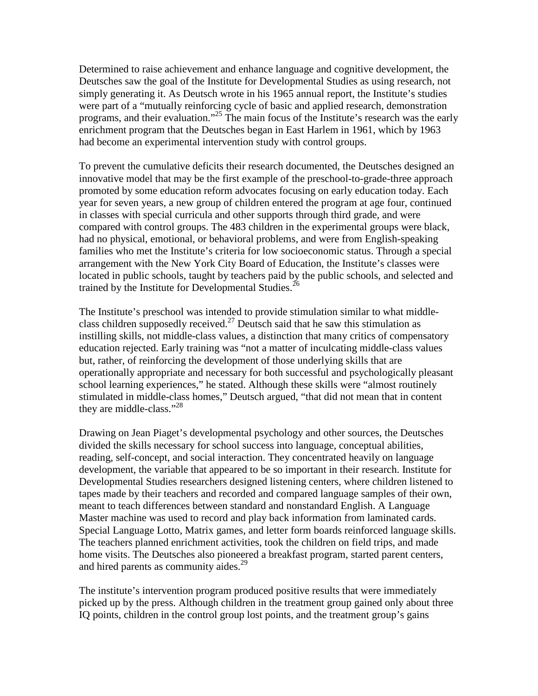Determined to raise achievement and enhance language and cognitive development, the Deutsches saw the goal of the Institute for Developmental Studies as using research, not simply generating it. As Deutsch wrote in his 1965 annual report, the Institute's studies were part of a "mutually reinforcing cycle of basic and applied research, demonstration programs, and their evaluation."<sup>25</sup> The main focus of the Institute's research was the early enrichment program that the Deutsches began in East Harlem in 1961, which by 1963 had become an experimental intervention study with control groups.

To prevent the cumulative deficits their research documented, the Deutsches designed an innovative model that may be the first example of the preschool-to-grade-three approach promoted by some education reform advocates focusing on early education today. Each year for seven years, a new group of children entered the program at age four, continued in classes with special curricula and other supports through third grade, and were compared with control groups. The 483 children in the experimental groups were black, had no physical, emotional, or behavioral problems, and were from English-speaking families who met the Institute's criteria for low socioeconomic status. Through a special arrangement with the New York City Board of Education, the Institute's classes were located in public schools, taught by teachers paid by the public schools, and selected and trained by the Institute for Developmental Studies.<sup>26</sup>

The Institute's preschool was intended to provide stimulation similar to what middleclass children supposedly received.<sup>27</sup> Deutsch said that he saw this stimulation as instilling skills, not middle-class values, a distinction that many critics of compensatory education rejected. Early training was "not a matter of inculcating middle-class values but, rather, of reinforcing the development of those underlying skills that are operationally appropriate and necessary for both successful and psychologically pleasant school learning experiences," he stated. Although these skills were "almost routinely stimulated in middle-class homes," Deutsch argued, "that did not mean that in content they are middle-class."28

Drawing on Jean Piaget's developmental psychology and other sources, the Deutsches divided the skills necessary for school success into language, conceptual abilities, reading, self-concept, and social interaction. They concentrated heavily on language development, the variable that appeared to be so important in their research. Institute for Developmental Studies researchers designed listening centers, where children listened to tapes made by their teachers and recorded and compared language samples of their own, meant to teach differences between standard and nonstandard English. A Language Master machine was used to record and play back information from laminated cards. Special Language Lotto, Matrix games, and letter form boards reinforced language skills. The teachers planned enrichment activities, took the children on field trips, and made home visits. The Deutsches also pioneered a breakfast program, started parent centers, and hired parents as community aides.<sup>29</sup>

The institute's intervention program produced positive results that were immediately picked up by the press. Although children in the treatment group gained only about three IQ points, children in the control group lost points, and the treatment group's gains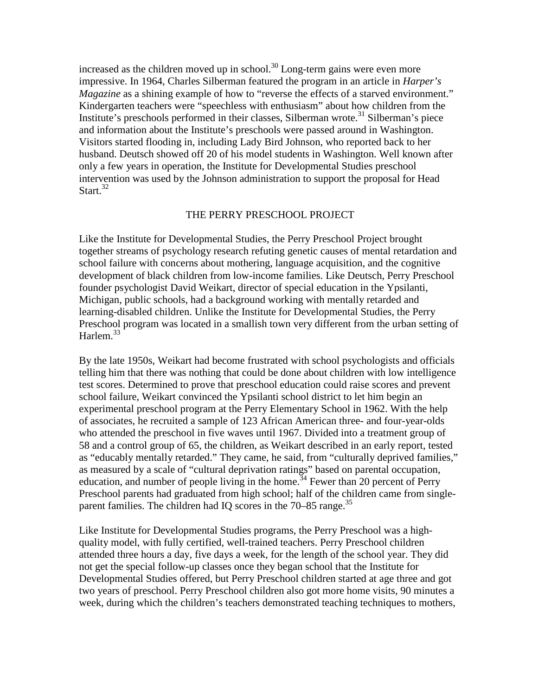increased as the children moved up in school.<sup>30</sup> Long-term gains were even more impressive. In 1964, Charles Silberman featured the program in an article in *Harper's Magazine* as a shining example of how to "reverse the effects of a starved environment." Kindergarten teachers were "speechless with enthusiasm" about how children from the Institute's preschools performed in their classes, Silberman wrote.<sup>31</sup> Silberman's piece and information about the Institute's preschools were passed around in Washington. Visitors started flooding in, including Lady Bird Johnson, who reported back to her husband. Deutsch showed off 20 of his model students in Washington. Well known after only a few years in operation, the Institute for Developmental Studies preschool intervention was used by the Johnson administration to support the proposal for Head Start $^{32}$ 

#### THE PERRY PRESCHOOL PROJECT

Like the Institute for Developmental Studies, the Perry Preschool Project brought together streams of psychology research refuting genetic causes of mental retardation and school failure with concerns about mothering, language acquisition, and the cognitive development of black children from low-income families. Like Deutsch, Perry Preschool founder psychologist David Weikart, director of special education in the Ypsilanti, Michigan, public schools, had a background working with mentally retarded and learning-disabled children. Unlike the Institute for Developmental Studies, the Perry Preschool program was located in a smallish town very different from the urban setting of Harlem.<sup>33</sup>

By the late 1950s, Weikart had become frustrated with school psychologists and officials telling him that there was nothing that could be done about children with low intelligence test scores. Determined to prove that preschool education could raise scores and prevent school failure, Weikart convinced the Ypsilanti school district to let him begin an experimental preschool program at the Perry Elementary School in 1962. With the help of associates, he recruited a sample of 123 African American three- and four-year-olds who attended the preschool in five waves until 1967. Divided into a treatment group of 58 and a control group of 65, the children, as Weikart described in an early report, tested as "educably mentally retarded." They came, he said, from "culturally deprived families," as measured by a scale of "cultural deprivation ratings" based on parental occupation, education, and number of people living in the home.<sup>34</sup> Fewer than 20 percent of Perry Preschool parents had graduated from high school; half of the children came from singleparent families. The children had IQ scores in the  $70-85$  range.<sup>35</sup>

Like Institute for Developmental Studies programs, the Perry Preschool was a highquality model, with fully certified, well-trained teachers. Perry Preschool children attended three hours a day, five days a week, for the length of the school year. They did not get the special follow-up classes once they began school that the Institute for Developmental Studies offered, but Perry Preschool children started at age three and got two years of preschool. Perry Preschool children also got more home visits, 90 minutes a week, during which the children's teachers demonstrated teaching techniques to mothers,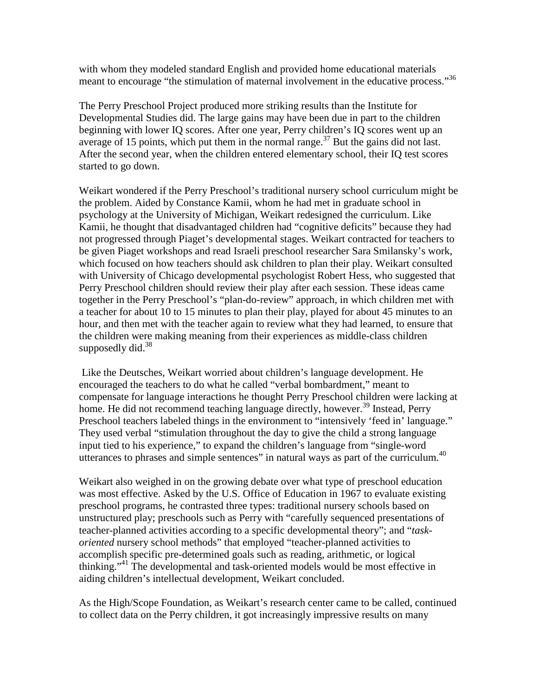with whom they modeled standard English and provided home educational materials meant to encourage "the stimulation of maternal involvement in the educative process."<sup>36</sup>

The Perry Preschool Project produced more striking results than the Institute for Developmental Studies did. The large gains may have been due in part to the children beginning with lower IQ scores. After one year, Perry children's IQ scores went up an average of 15 points, which put them in the normal range.<sup>37</sup> But the gains did not last. After the second year, when the children entered elementary school, their IQ test scores started to go down.

Weikart wondered if the Perry Preschool's traditional nursery school curriculum might be the problem. Aided by Constance Kamii, whom he had met in graduate school in psychology at the University of Michigan, Weikart redesigned the curriculum. Like Kamii, he thought that disadvantaged children had "cognitive deficits" because they had not progressed through Piaget's developmental stages. Weikart contracted for teachers to be given Piaget workshops and read Israeli preschool researcher Sara Smilansky's work, which focused on how teachers should ask children to plan their play. Weikart consulted with University of Chicago developmental psychologist Robert Hess, who suggested that Perry Preschool children should review their play after each session. These ideas came together in the Perry Preschool's "plan-do-review" approach, in which children met with a teacher for about 10 to 15 minutes to plan their play, played for about 45 minutes to an hour, and then met with the teacher again to review what they had learned, to ensure that the children were making meaning from their experiences as middle-class children supposedly did.<sup>38</sup>

Like the Deutsches, Weikart worried about children's language development. He encouraged the teachers to do what he called "verbal bombardment," meant to compensate for language interactions he thought Perry Preschool children were lacking at home. He did not recommend teaching language directly, however.<sup>39</sup> Instead, Perry Preschool teachers labeled things in the environment to "intensively 'feed in' language." They used verbal "stimulation throughout the day to give the child a strong language input tied to his experience," to expand the children's language from "single-word utterances to phrases and simple sentences" in natural ways as part of the curriculum.<sup>40</sup>

Weikart also weighed in on the growing debate over what type of preschool education was most effective. Asked by the U.S. Office of Education in 1967 to evaluate existing preschool programs, he contrasted three types: traditional nursery schools based on unstructured play; preschools such as Perry with "carefully sequenced presentations of teacher-planned activities according to a specific developmental theory"; and "*taskoriented* nursery school methods" that employed "teacher-planned activities to accomplish specific pre-determined goals such as reading, arithmetic, or logical thinking."41 The developmental and task-oriented models would be most effective in aiding children's intellectual development, Weikart concluded.

As the High/Scope Foundation, as Weikart's research center came to be called, continued to collect data on the Perry children, it got increasingly impressive results on many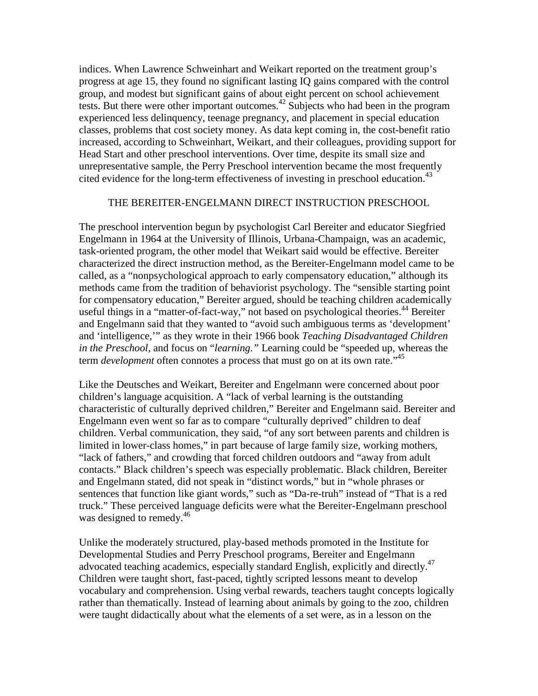indices. When Lawrence Schweinhart and Weikart reported on the treatment group's progress at age 15, they found no significant lasting IQ gains compared with the control group, and modest but significant gains of about eight percent on school achievement tests. But there were other important outcomes.<sup>42</sup> Subjects who had been in the program experienced less delinquency, teenage pregnancy, and placement in special education classes, problems that cost society money. As data kept coming in, the cost-benefit ratio increased, according to Schweinhart, Weikart, and their colleagues, providing support for Head Start and other preschool interventions. Over time, despite its small size and unrepresentative sample, the Perry Preschool intervention became the most frequently cited evidence for the long-term effectiveness of investing in preschool education.<sup>43</sup>

## THE BEREITER-ENGELMANN DIRECT INSTRUCTION PRESCHOOL

The preschool intervention begun by psychologist Carl Bereiter and educator Siegfried Engelmann in 1964 at the University of Illinois, Urbana-Champaign, was an academic, task-oriented program, the other model that Weikart said would be effective. Bereiter characterized the direct instruction method, as the Bereiter-Engelmann model came to be called, as a "nonpsychological approach to early compensatory education," although its methods came from the tradition of behaviorist psychology. The "sensible starting point for compensatory education," Bereiter argued, should be teaching children academically useful things in a "matter-of-fact-way," not based on psychological theories.<sup>44</sup> Bereiter and Engelmann said that they wanted to "avoid such ambiguous terms as 'development' and 'intelligence,'" as they wrote in their 1966 book *Teaching Disadvantaged Children in the Preschool,* and focus on "*learning."* Learning could be "speeded up, whereas the term *development* often connotes a process that must go on at its own rate.<sup>145</sup>

Like the Deutsches and Weikart, Bereiter and Engelmann were concerned about poor children's language acquisition. A "lack of verbal learning is the outstanding characteristic of culturally deprived children," Bereiter and Engelmann said. Bereiter and Engelmann even went so far as to compare "culturally deprived" children to deaf children. Verbal communication, they said, "of any sort between parents and children is limited in lower-class homes," in part because of large family size, working mothers, "lack of fathers," and crowding that forced children outdoors and "away from adult contacts." Black children's speech was especially problematic. Black children, Bereiter and Engelmann stated, did not speak in "distinct words," but in "whole phrases or sentences that function like giant words," such as "Da-re-truh" instead of "That is a red truck." These perceived language deficits were what the Bereiter-Engelmann preschool was designed to remedy.<sup>46</sup>

Unlike the moderately structured, play-based methods promoted in the Institute for Developmental Studies and Perry Preschool programs, Bereiter and Engelmann advocated teaching academics, especially standard English, explicitly and directly.<sup>47</sup> Children were taught short, fast-paced, tightly scripted lessons meant to develop vocabulary and comprehension. Using verbal rewards, teachers taught concepts logically rather than thematically. Instead of learning about animals by going to the zoo, children were taught didactically about what the elements of a set were, as in a lesson on the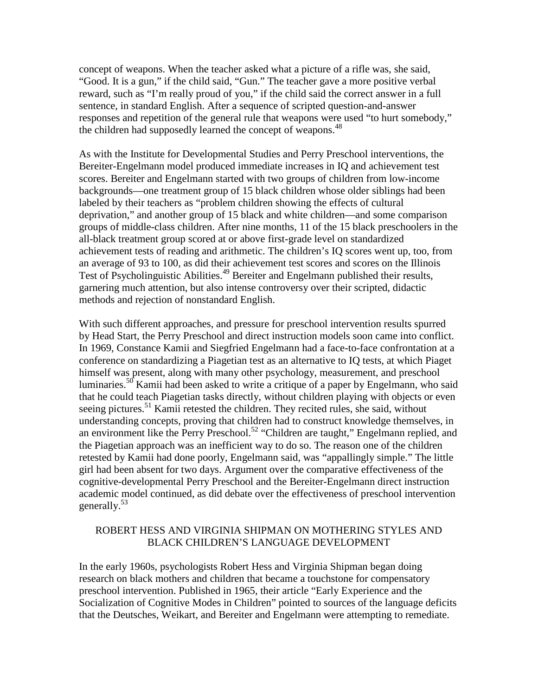concept of weapons. When the teacher asked what a picture of a rifle was, she said, "Good. It is a gun," if the child said, "Gun." The teacher gave a more positive verbal reward, such as "I'm really proud of you," if the child said the correct answer in a full sentence, in standard English. After a sequence of scripted question-and-answer responses and repetition of the general rule that weapons were used "to hurt somebody," the children had supposedly learned the concept of weapons.<sup>48</sup>

As with the Institute for Developmental Studies and Perry Preschool interventions, the Bereiter-Engelmann model produced immediate increases in IQ and achievement test scores. Bereiter and Engelmann started with two groups of children from low-income backgrounds—one treatment group of 15 black children whose older siblings had been labeled by their teachers as "problem children showing the effects of cultural deprivation," and another group of 15 black and white children—and some comparison groups of middle-class children. After nine months, 11 of the 15 black preschoolers in the all-black treatment group scored at or above first-grade level on standardized achievement tests of reading and arithmetic. The children's IQ scores went up, too, from an average of 93 to 100, as did their achievement test scores and scores on the Illinois Test of Psycholinguistic Abilities.<sup>49</sup> Bereiter and Engelmann published their results, garnering much attention, but also intense controversy over their scripted, didactic methods and rejection of nonstandard English.

With such different approaches, and pressure for preschool intervention results spurred by Head Start, the Perry Preschool and direct instruction models soon came into conflict. In 1969, Constance Kamii and Siegfried Engelmann had a face-to-face confrontation at a conference on standardizing a Piagetian test as an alternative to IQ tests, at which Piaget himself was present, along with many other psychology, measurement, and preschool luminaries.<sup>50</sup> Kamii had been asked to write a critique of a paper by Engelmann, who said that he could teach Piagetian tasks directly, without children playing with objects or even seeing pictures.<sup>51</sup> Kamii retested the children. They recited rules, she said, without understanding concepts, proving that children had to construct knowledge themselves, in an environment like the Perry Preschool.<sup>52</sup> "Children are taught," Engelmann replied, and the Piagetian approach was an inefficient way to do so. The reason one of the children retested by Kamii had done poorly, Engelmann said, was "appallingly simple." The little girl had been absent for two days. Argument over the comparative effectiveness of the cognitive-developmental Perry Preschool and the Bereiter-Engelmann direct instruction academic model continued, as did debate over the effectiveness of preschool intervention generally.53

# ROBERT HESS AND VIRGINIA SHIPMAN ON MOTHERING STYLES AND BLACK CHILDREN'S LANGUAGE DEVELOPMENT

In the early 1960s, psychologists Robert Hess and Virginia Shipman began doing research on black mothers and children that became a touchstone for compensatory preschool intervention. Published in 1965, their article "Early Experience and the Socialization of Cognitive Modes in Children" pointed to sources of the language deficits that the Deutsches, Weikart, and Bereiter and Engelmann were attempting to remediate.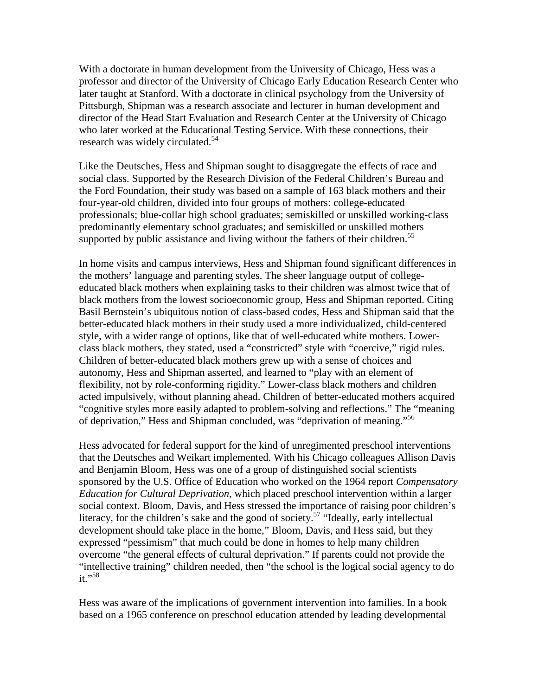With a doctorate in human development from the University of Chicago, Hess was a professor and director of the University of Chicago Early Education Research Center who later taught at Stanford. With a doctorate in clinical psychology from the University of Pittsburgh, Shipman was a research associate and lecturer in human development and director of the Head Start Evaluation and Research Center at the University of Chicago who later worked at the Educational Testing Service. With these connections, their research was widely circulated.<sup>54</sup>

Like the Deutsches, Hess and Shipman sought to disaggregate the effects of race and social class. Supported by the Research Division of the Federal Children's Bureau and the Ford Foundation, their study was based on a sample of 163 black mothers and their four-year-old children, divided into four groups of mothers: college-educated professionals; blue-collar high school graduates; semiskilled or unskilled working-class predominantly elementary school graduates; and semiskilled or unskilled mothers supported by public assistance and living without the fathers of their children.<sup>55</sup>

In home visits and campus interviews, Hess and Shipman found significant differences in the mothers' language and parenting styles. The sheer language output of collegeeducated black mothers when explaining tasks to their children was almost twice that of black mothers from the lowest socioeconomic group, Hess and Shipman reported. Citing Basil Bernstein's ubiquitous notion of class-based codes, Hess and Shipman said that the better-educated black mothers in their study used a more individualized, child-centered style, with a wider range of options, like that of well-educated white mothers. Lowerclass black mothers, they stated, used a "constricted" style with "coercive," rigid rules. Children of better-educated black mothers grew up with a sense of choices and autonomy, Hess and Shipman asserted, and learned to "play with an element of flexibility, not by role-conforming rigidity." Lower-class black mothers and children acted impulsively, without planning ahead. Children of better-educated mothers acquired "cognitive styles more easily adapted to problem-solving and reflections." The "meaning of deprivation," Hess and Shipman concluded, was "deprivation of meaning."<sup>56</sup>

Hess advocated for federal support for the kind of unregimented preschool interventions that the Deutsches and Weikart implemented. With his Chicago colleagues Allison Davis and Benjamin Bloom, Hess was one of a group of distinguished social scientists sponsored by the U.S. Office of Education who worked on the 1964 report *Compensatory Education for Cultural Deprivation*, which placed preschool intervention within a larger social context. Bloom, Davis, and Hess stressed the importance of raising poor children's literacy, for the children's sake and the good of society.<sup>57</sup> "Ideally, early intellectual development should take place in the home," Bloom, Davis, and Hess said, but they expressed "pessimism" that much could be done in homes to help many children overcome "the general effects of cultural deprivation." If parents could not provide the "intellective training" children needed, then "the school is the logical social agency to do it."<sup>58</sup>

Hess was aware of the implications of government intervention into families. In a book based on a 1965 conference on preschool education attended by leading developmental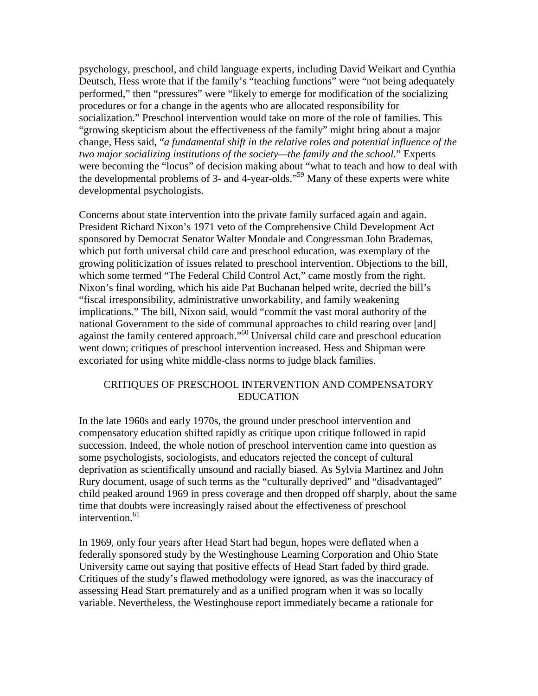psychology, preschool, and child language experts, including David Weikart and Cynthia Deutsch, Hess wrote that if the family's "teaching functions" were "not being adequately performed," then "pressures" were "likely to emerge for modification of the socializing procedures or for a change in the agents who are allocated responsibility for socialization." Preschool intervention would take on more of the role of families. This "growing skepticism about the effectiveness of the family" might bring about a major change, Hess said, "*a fundamental shift in the relative roles and potential influence of the two major socializing institutions of the society—the family and the school*." Experts were becoming the "locus" of decision making about "what to teach and how to deal with the developmental problems of 3- and 4-year-olds."59 Many of these experts were white developmental psychologists.

Concerns about state intervention into the private family surfaced again and again. President Richard Nixon's 1971 veto of the Comprehensive Child Development Act sponsored by Democrat Senator Walter Mondale and Congressman John Brademas, which put forth universal child care and preschool education, was exemplary of the growing politicization of issues related to preschool intervention. Objections to the bill, which some termed "The Federal Child Control Act," came mostly from the right. Nixon's final wording, which his aide Pat Buchanan helped write, decried the bill's "fiscal irresponsibility, administrative unworkability, and family weakening implications." The bill, Nixon said, would "commit the vast moral authority of the national Government to the side of communal approaches to child rearing over [and] against the family centered approach."<sup>60</sup> Universal child care and preschool education went down; critiques of preschool intervention increased. Hess and Shipman were excoriated for using white middle-class norms to judge black families.

# CRITIQUES OF PRESCHOOL INTERVENTION AND COMPENSATORY EDUCATION

In the late 1960s and early 1970s, the ground under preschool intervention and compensatory education shifted rapidly as critique upon critique followed in rapid succession. Indeed, the whole notion of preschool intervention came into question as some psychologists, sociologists, and educators rejected the concept of cultural deprivation as scientifically unsound and racially biased. As Sylvia Martinez and John Rury document, usage of such terms as the "culturally deprived" and "disadvantaged" child peaked around 1969 in press coverage and then dropped off sharply, about the same time that doubts were increasingly raised about the effectiveness of preschool intervention. $61$ 

In 1969, only four years after Head Start had begun, hopes were deflated when a federally sponsored study by the Westinghouse Learning Corporation and Ohio State University came out saying that positive effects of Head Start faded by third grade. Critiques of the study's flawed methodology were ignored, as was the inaccuracy of assessing Head Start prematurely and as a unified program when it was so locally variable. Nevertheless, the Westinghouse report immediately became a rationale for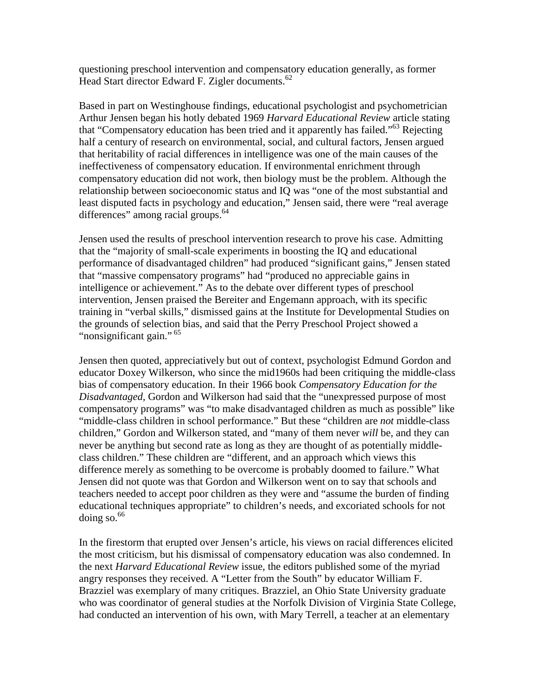questioning preschool intervention and compensatory education generally, as former Head Start director Edward F. Zigler documents.<sup>62</sup>

Based in part on Westinghouse findings, educational psychologist and psychometrician Arthur Jensen began his hotly debated 1969 *Harvard Educational Review* article stating that "Compensatory education has been tried and it apparently has failed."<sup>63</sup> Rejecting half a century of research on environmental, social, and cultural factors, Jensen argued that heritability of racial differences in intelligence was one of the main causes of the ineffectiveness of compensatory education. If environmental enrichment through compensatory education did not work, then biology must be the problem. Although the relationship between socioeconomic status and IQ was "one of the most substantial and least disputed facts in psychology and education," Jensen said, there were "real average differences" among racial groups.<sup>64</sup>

Jensen used the results of preschool intervention research to prove his case. Admitting that the "majority of small-scale experiments in boosting the IQ and educational performance of disadvantaged children" had produced "significant gains," Jensen stated that "massive compensatory programs" had "produced no appreciable gains in intelligence or achievement." As to the debate over different types of preschool intervention, Jensen praised the Bereiter and Engemann approach, with its specific training in "verbal skills," dismissed gains at the Institute for Developmental Studies on the grounds of selection bias, and said that the Perry Preschool Project showed a "nonsignificant gain."<sup>65</sup>

Jensen then quoted, appreciatively but out of context, psychologist Edmund Gordon and educator Doxey Wilkerson, who since the mid1960s had been critiquing the middle-class bias of compensatory education. In their 1966 book *Compensatory Education for the Disadvantaged,* Gordon and Wilkerson had said that the "unexpressed purpose of most compensatory programs" was "to make disadvantaged children as much as possible" like "middle-class children in school performance." But these "children are *not* middle-class children," Gordon and Wilkerson stated, and "many of them never *will* be, and they can never be anything but second rate as long as they are thought of as potentially middleclass children." These children are "different, and an approach which views this difference merely as something to be overcome is probably doomed to failure." What Jensen did not quote was that Gordon and Wilkerson went on to say that schools and teachers needed to accept poor children as they were and "assume the burden of finding educational techniques appropriate" to children's needs, and excoriated schools for not doing so. $66$ 

In the firestorm that erupted over Jensen's article, his views on racial differences elicited the most criticism, but his dismissal of compensatory education was also condemned. In the next *Harvard Educational Review* issue, the editors published some of the myriad angry responses they received. A "Letter from the South" by educator William F. Brazziel was exemplary of many critiques. Brazziel, an Ohio State University graduate who was coordinator of general studies at the Norfolk Division of Virginia State College, had conducted an intervention of his own, with Mary Terrell, a teacher at an elementary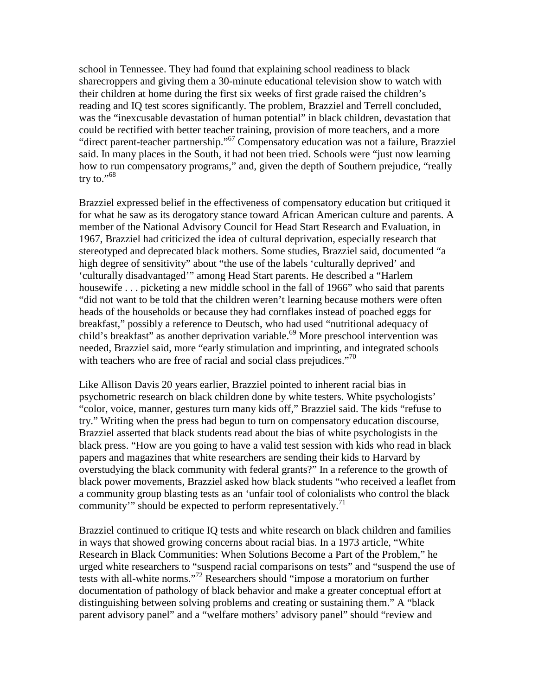school in Tennessee. They had found that explaining school readiness to black sharecroppers and giving them a 30-minute educational television show to watch with their children at home during the first six weeks of first grade raised the children's reading and IQ test scores significantly. The problem, Brazziel and Terrell concluded, was the "inexcusable devastation of human potential" in black children, devastation that could be rectified with better teacher training, provision of more teachers, and a more "direct parent-teacher partnership."67 Compensatory education was not a failure, Brazziel said. In many places in the South, it had not been tried. Schools were "just now learning how to run compensatory programs," and, given the depth of Southern prejudice, "really try to."<sup>68</sup>

Brazziel expressed belief in the effectiveness of compensatory education but critiqued it for what he saw as its derogatory stance toward African American culture and parents. A member of the National Advisory Council for Head Start Research and Evaluation, in 1967, Brazziel had criticized the idea of cultural deprivation, especially research that stereotyped and deprecated black mothers. Some studies, Brazziel said, documented "a high degree of sensitivity" about "the use of the labels 'culturally deprived' and 'culturally disadvantaged'" among Head Start parents. He described a "Harlem housewife . . . picketing a new middle school in the fall of 1966" who said that parents "did not want to be told that the children weren't learning because mothers were often heads of the households or because they had cornflakes instead of poached eggs for breakfast," possibly a reference to Deutsch, who had used "nutritional adequacy of child's breakfast" as another deprivation variable.<sup>69</sup> More preschool intervention was needed, Brazziel said, more "early stimulation and imprinting, and integrated schools with teachers who are free of racial and social class prejudices." $\frac{1}{10}$ 

Like Allison Davis 20 years earlier, Brazziel pointed to inherent racial bias in psychometric research on black children done by white testers. White psychologists' "color, voice, manner, gestures turn many kids off," Brazziel said. The kids "refuse to try." Writing when the press had begun to turn on compensatory education discourse, Brazziel asserted that black students read about the bias of white psychologists in the black press. "How are you going to have a valid test session with kids who read in black papers and magazines that white researchers are sending their kids to Harvard by overstudying the black community with federal grants?" In a reference to the growth of black power movements, Brazziel asked how black students "who received a leaflet from a community group blasting tests as an 'unfair tool of colonialists who control the black community'" should be expected to perform representatively.<sup>71</sup>

Brazziel continued to critique IQ tests and white research on black children and families in ways that showed growing concerns about racial bias. In a 1973 article, "White Research in Black Communities: When Solutions Become a Part of the Problem," he urged white researchers to "suspend racial comparisons on tests" and "suspend the use of tests with all-white norms."72 Researchers should "impose a moratorium on further documentation of pathology of black behavior and make a greater conceptual effort at distinguishing between solving problems and creating or sustaining them." A "black parent advisory panel" and a "welfare mothers' advisory panel" should "review and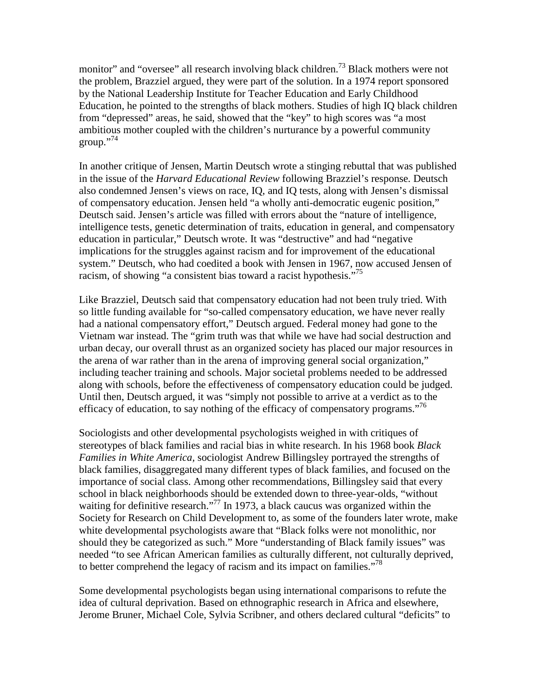monitor" and "oversee" all research involving black children.<sup>73</sup> Black mothers were not the problem, Brazziel argued, they were part of the solution. In a 1974 report sponsored by the National Leadership Institute for Teacher Education and Early Childhood Education, he pointed to the strengths of black mothers. Studies of high IQ black children from "depressed" areas, he said, showed that the "key" to high scores was "a most ambitious mother coupled with the children's nurturance by a powerful community  $groun.^{74}$ 

In another critique of Jensen, Martin Deutsch wrote a stinging rebuttal that was published in the issue of the *Harvard Educational Review* following Brazziel's response*.* Deutsch also condemned Jensen's views on race, IQ, and IQ tests, along with Jensen's dismissal of compensatory education. Jensen held "a wholly anti-democratic eugenic position," Deutsch said. Jensen's article was filled with errors about the "nature of intelligence, intelligence tests, genetic determination of traits, education in general, and compensatory education in particular," Deutsch wrote. It was "destructive" and had "negative implications for the struggles against racism and for improvement of the educational system." Deutsch, who had coedited a book with Jensen in 1967, now accused Jensen of racism, of showing "a consistent bias toward a racist hypothesis."<sup>75</sup>

Like Brazziel, Deutsch said that compensatory education had not been truly tried. With so little funding available for "so-called compensatory education, we have never really had a national compensatory effort," Deutsch argued. Federal money had gone to the Vietnam war instead. The "grim truth was that while we have had social destruction and urban decay, our overall thrust as an organized society has placed our major resources in the arena of war rather than in the arena of improving general social organization," including teacher training and schools. Major societal problems needed to be addressed along with schools, before the effectiveness of compensatory education could be judged. Until then, Deutsch argued, it was "simply not possible to arrive at a verdict as to the efficacy of education, to say nothing of the efficacy of compensatory programs. $176$ 

Sociologists and other developmental psychologists weighed in with critiques of stereotypes of black families and racial bias in white research. In his 1968 book *Black Families in White America,* sociologist Andrew Billingsley portrayed the strengths of black families, disaggregated many different types of black families, and focused on the importance of social class. Among other recommendations, Billingsley said that every school in black neighborhoods should be extended down to three-year-olds, "without waiting for definitive research."<sup>77</sup> In 1973, a black caucus was organized within the Society for Research on Child Development to, as some of the founders later wrote, make white developmental psychologists aware that "Black folks were not monolithic, nor should they be categorized as such." More "understanding of Black family issues" was needed "to see African American families as culturally different, not culturally deprived, to better comprehend the legacy of racism and its impact on families."<sup>78</sup>

Some developmental psychologists began using international comparisons to refute the idea of cultural deprivation. Based on ethnographic research in Africa and elsewhere, Jerome Bruner, Michael Cole, Sylvia Scribner, and others declared cultural "deficits" to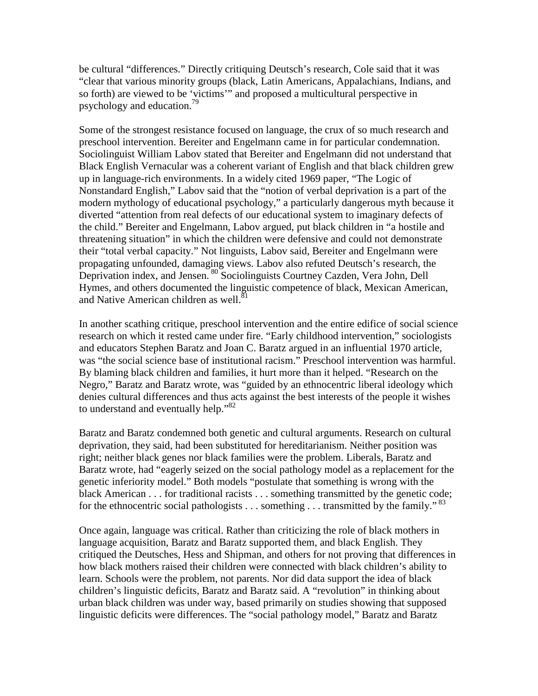be cultural "differences." Directly critiquing Deutsch's research, Cole said that it was "clear that various minority groups (black, Latin Americans, Appalachians, Indians, and so forth) are viewed to be 'victims'" and proposed a multicultural perspective in psychology and education.79

Some of the strongest resistance focused on language, the crux of so much research and preschool intervention. Bereiter and Engelmann came in for particular condemnation. Sociolinguist William Labov stated that Bereiter and Engelmann did not understand that Black English Vernacular was a coherent variant of English and that black children grew up in language-rich environments. In a widely cited 1969 paper, "The Logic of Nonstandard English," Labov said that the "notion of verbal deprivation is a part of the modern mythology of educational psychology," a particularly dangerous myth because it diverted "attention from real defects of our educational system to imaginary defects of the child." Bereiter and Engelmann, Labov argued, put black children in "a hostile and threatening situation" in which the children were defensive and could not demonstrate their "total verbal capacity." Not linguists, Labov said, Bereiter and Engelmann were propagating unfounded, damaging views. Labov also refuted Deutsch's research, the Deprivation index, and Jensen. <sup>80</sup> Sociolinguists Courtney Cazden, Vera John, Dell Hymes, and others documented the linguistic competence of black, Mexican American, and Native American children as well.<sup>81</sup>

In another scathing critique, preschool intervention and the entire edifice of social science research on which it rested came under fire. "Early childhood intervention," sociologists and educators Stephen Baratz and Joan C. Baratz argued in an influential 1970 article, was "the social science base of institutional racism." Preschool intervention was harmful. By blaming black children and families, it hurt more than it helped. "Research on the Negro," Baratz and Baratz wrote, was "guided by an ethnocentric liberal ideology which denies cultural differences and thus acts against the best interests of the people it wishes to understand and eventually help."<sup>82</sup>

Baratz and Baratz condemned both genetic and cultural arguments. Research on cultural deprivation, they said, had been substituted for hereditarianism. Neither position was right; neither black genes nor black families were the problem. Liberals, Baratz and Baratz wrote, had "eagerly seized on the social pathology model as a replacement for the genetic inferiority model." Both models "postulate that something is wrong with the black American . . . for traditional racists . . . something transmitted by the genetic code; for the ethnocentric social pathologists  $\dots$  something  $\dots$  transmitted by the family."<sup>83</sup>

Once again, language was critical. Rather than criticizing the role of black mothers in language acquisition, Baratz and Baratz supported them, and black English. They critiqued the Deutsches, Hess and Shipman, and others for not proving that differences in how black mothers raised their children were connected with black children's ability to learn. Schools were the problem, not parents. Nor did data support the idea of black children's linguistic deficits, Baratz and Baratz said. A "revolution" in thinking about urban black children was under way, based primarily on studies showing that supposed linguistic deficits were differences. The "social pathology model," Baratz and Baratz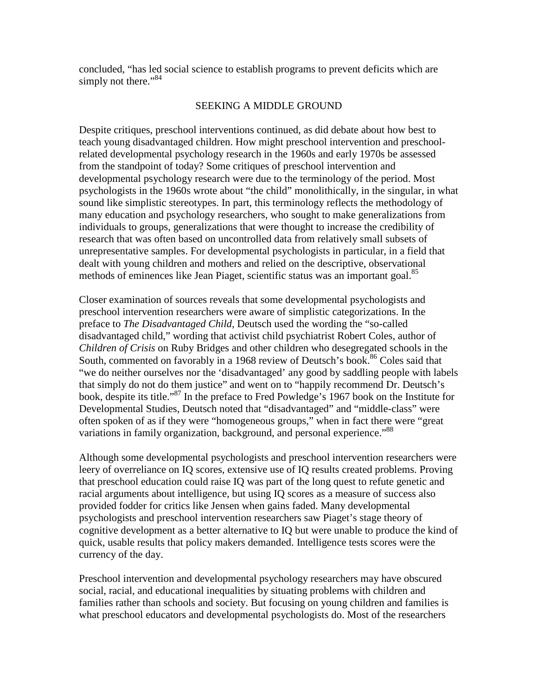concluded, "has led social science to establish programs to prevent deficits which are simply not there."<sup>84</sup>

## SEEKING A MIDDLE GROUND

Despite critiques, preschool interventions continued, as did debate about how best to teach young disadvantaged children. How might preschool intervention and preschoolrelated developmental psychology research in the 1960s and early 1970s be assessed from the standpoint of today? Some critiques of preschool intervention and developmental psychology research were due to the terminology of the period. Most psychologists in the 1960s wrote about "the child" monolithically, in the singular, in what sound like simplistic stereotypes. In part, this terminology reflects the methodology of many education and psychology researchers, who sought to make generalizations from individuals to groups, generalizations that were thought to increase the credibility of research that was often based on uncontrolled data from relatively small subsets of unrepresentative samples. For developmental psychologists in particular, in a field that dealt with young children and mothers and relied on the descriptive, observational methods of eminences like Jean Piaget, scientific status was an important goal.<sup>85</sup>

Closer examination of sources reveals that some developmental psychologists and preschool intervention researchers were aware of simplistic categorizations. In the preface to *The Disadvantaged Child,* Deutsch used the wording the "so-called disadvantaged child," wording that activist child psychiatrist Robert Coles, author of *Children of Crisis* on Ruby Bridges and other children who desegregated schools in the South, commented on favorably in a 1968 review of Deutsch's book.<sup>86</sup> Coles said that "we do neither ourselves nor the 'disadvantaged' any good by saddling people with labels that simply do not do them justice" and went on to "happily recommend Dr. Deutsch's book, despite its title."87 In the preface to Fred Powledge's 1967 book on the Institute for Developmental Studies, Deutsch noted that "disadvantaged" and "middle-class" were often spoken of as if they were "homogeneous groups," when in fact there were "great variations in family organization, background, and personal experience."<sup>88</sup>

Although some developmental psychologists and preschool intervention researchers were leery of overreliance on IQ scores, extensive use of IQ results created problems. Proving that preschool education could raise IQ was part of the long quest to refute genetic and racial arguments about intelligence, but using IQ scores as a measure of success also provided fodder for critics like Jensen when gains faded. Many developmental psychologists and preschool intervention researchers saw Piaget's stage theory of cognitive development as a better alternative to IQ but were unable to produce the kind of quick, usable results that policy makers demanded. Intelligence tests scores were the currency of the day.

Preschool intervention and developmental psychology researchers may have obscured social, racial, and educational inequalities by situating problems with children and families rather than schools and society. But focusing on young children and families is what preschool educators and developmental psychologists do. Most of the researchers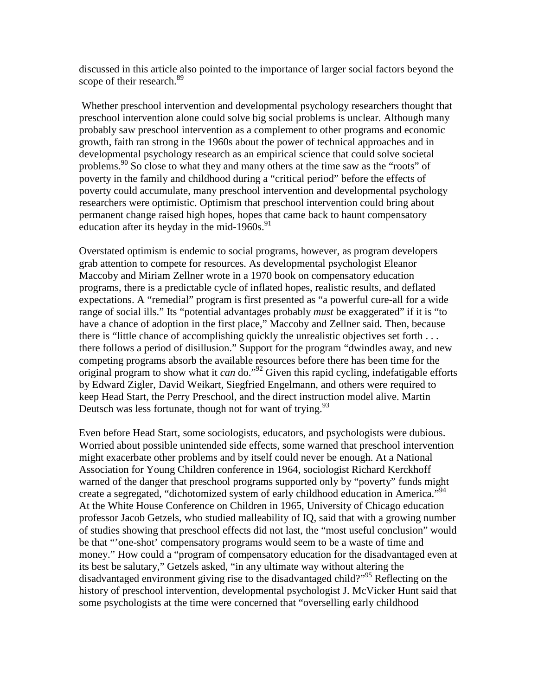discussed in this article also pointed to the importance of larger social factors beyond the scope of their research.<sup>89</sup>

Whether preschool intervention and developmental psychology researchers thought that preschool intervention alone could solve big social problems is unclear. Although many probably saw preschool intervention as a complement to other programs and economic growth, faith ran strong in the 1960s about the power of technical approaches and in developmental psychology research as an empirical science that could solve societal problems.90 So close to what they and many others at the time saw as the "roots" of poverty in the family and childhood during a "critical period" before the effects of poverty could accumulate, many preschool intervention and developmental psychology researchers were optimistic. Optimism that preschool intervention could bring about permanent change raised high hopes, hopes that came back to haunt compensatory education after its heyday in the mid-1960s. $91$ 

Overstated optimism is endemic to social programs, however, as program developers grab attention to compete for resources. As developmental psychologist Eleanor Maccoby and Miriam Zellner wrote in a 1970 book on compensatory education programs, there is a predictable cycle of inflated hopes, realistic results, and deflated expectations. A "remedial" program is first presented as "a powerful cure-all for a wide range of social ills." Its "potential advantages probably *must* be exaggerated" if it is "to have a chance of adoption in the first place," Maccoby and Zellner said. Then, because there is "little chance of accomplishing quickly the unrealistic objectives set forth . . . there follows a period of disillusion." Support for the program "dwindles away, and new competing programs absorb the available resources before there has been time for the original program to show what it *can* do."92 Given this rapid cycling, indefatigable efforts by Edward Zigler, David Weikart, Siegfried Engelmann, and others were required to keep Head Start, the Perry Preschool, and the direct instruction model alive. Martin Deutsch was less fortunate, though not for want of trying.<sup>93</sup>

Even before Head Start, some sociologists, educators, and psychologists were dubious. Worried about possible unintended side effects, some warned that preschool intervention might exacerbate other problems and by itself could never be enough. At a National Association for Young Children conference in 1964, sociologist Richard Kerckhoff warned of the danger that preschool programs supported only by "poverty" funds might create a segregated, "dichotomized system of early childhood education in America."<sup>94</sup> At the White House Conference on Children in 1965, University of Chicago education professor Jacob Getzels, who studied malleability of IQ, said that with a growing number of studies showing that preschool effects did not last, the "most useful conclusion" would be that "'one-shot' compensatory programs would seem to be a waste of time and money." How could a "program of compensatory education for the disadvantaged even at its best be salutary," Getzels asked, "in any ultimate way without altering the disadvantaged environment giving rise to the disadvantaged child?"95 Reflecting on the history of preschool intervention, developmental psychologist J. McVicker Hunt said that some psychologists at the time were concerned that "overselling early childhood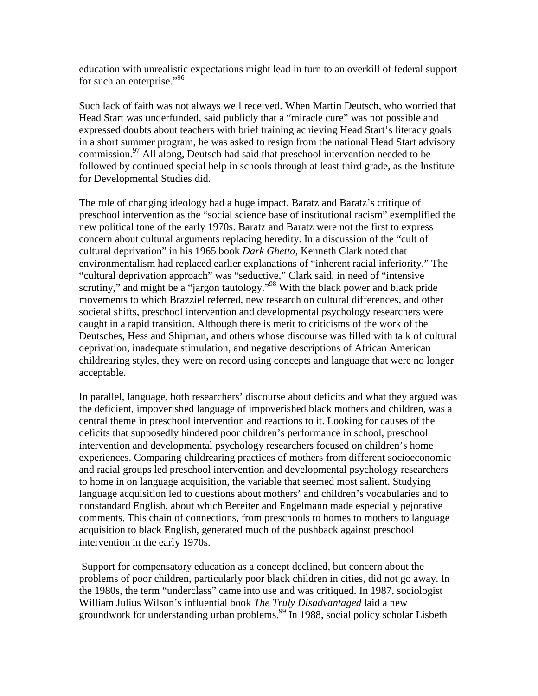education with unrealistic expectations might lead in turn to an overkill of federal support for such an enterprise."<sup>96</sup>

Such lack of faith was not always well received. When Martin Deutsch, who worried that Head Start was underfunded, said publicly that a "miracle cure" was not possible and expressed doubts about teachers with brief training achieving Head Start's literacy goals in a short summer program, he was asked to resign from the national Head Start advisory commission.<sup>97</sup> All along, Deutsch had said that preschool intervention needed to be followed by continued special help in schools through at least third grade, as the Institute for Developmental Studies did.

The role of changing ideology had a huge impact. Baratz and Baratz's critique of preschool intervention as the "social science base of institutional racism" exemplified the new political tone of the early 1970s. Baratz and Baratz were not the first to express concern about cultural arguments replacing heredity. In a discussion of the "cult of cultural deprivation" in his 1965 book *Dark Ghetto,* Kenneth Clark noted that environmentalism had replaced earlier explanations of "inherent racial inferiority." The "cultural deprivation approach" was "seductive," Clark said, in need of "intensive scrutiny," and might be a "jargon tautology."<sup>98</sup> With the black power and black pride movements to which Brazziel referred, new research on cultural differences, and other societal shifts, preschool intervention and developmental psychology researchers were caught in a rapid transition. Although there is merit to criticisms of the work of the Deutsches, Hess and Shipman, and others whose discourse was filled with talk of cultural deprivation, inadequate stimulation, and negative descriptions of African American childrearing styles, they were on record using concepts and language that were no longer acceptable.

In parallel, language, both researchers' discourse about deficits and what they argued was the deficient, impoverished language of impoverished black mothers and children, was a central theme in preschool intervention and reactions to it. Looking for causes of the deficits that supposedly hindered poor children's performance in school, preschool intervention and developmental psychology researchers focused on children's home experiences. Comparing childrearing practices of mothers from different socioeconomic and racial groups led preschool intervention and developmental psychology researchers to home in on language acquisition, the variable that seemed most salient. Studying language acquisition led to questions about mothers' and children's vocabularies and to nonstandard English, about which Bereiter and Engelmann made especially pejorative comments. This chain of connections, from preschools to homes to mothers to language acquisition to black English, generated much of the pushback against preschool intervention in the early 1970s.

Support for compensatory education as a concept declined, but concern about the problems of poor children, particularly poor black children in cities, did not go away. In the 1980s, the term "underclass" came into use and was critiqued. In 1987, sociologist William Julius Wilson's influential book *The Truly Disadvantaged* laid a new groundwork for understanding urban problems.<sup>99</sup> In 1988, social policy scholar Lisbeth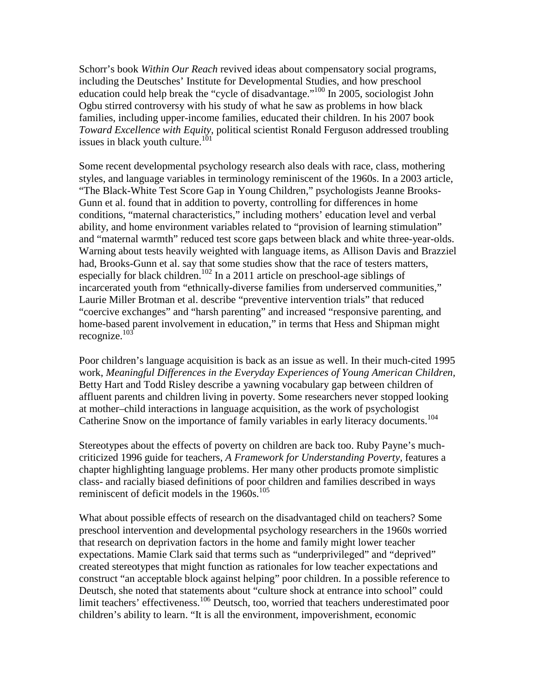Schorr's book *Within Our Reach* revived ideas about compensatory social programs, including the Deutsches' Institute for Developmental Studies, and how preschool education could help break the "cycle of disadvantage."100 In 2005, sociologist John Ogbu stirred controversy with his study of what he saw as problems in how black families, including upper-income families, educated their children. In his 2007 book *Toward Excellence with Equity,* political scientist Ronald Ferguson addressed troubling issues in black youth culture.<sup>101</sup>

Some recent developmental psychology research also deals with race, class, mothering styles, and language variables in terminology reminiscent of the 1960s. In a 2003 article, "The Black-White Test Score Gap in Young Children," psychologists Jeanne Brooks-Gunn et al. found that in addition to poverty, controlling for differences in home conditions, "maternal characteristics," including mothers' education level and verbal ability, and home environment variables related to "provision of learning stimulation" and "maternal warmth" reduced test score gaps between black and white three-year-olds. Warning about tests heavily weighted with language items, as Allison Davis and Brazziel had, Brooks-Gunn et al. say that some studies show that the race of testers matters, especially for black children.<sup>102</sup> In a 2011 article on preschool-age siblings of incarcerated youth from "ethnically-diverse families from underserved communities," Laurie Miller Brotman et al. describe "preventive intervention trials" that reduced "coercive exchanges" and "harsh parenting" and increased "responsive parenting, and home-based parent involvement in education," in terms that Hess and Shipman might recognize. $103$ 

Poor children's language acquisition is back as an issue as well. In their much-cited 1995 work, *Meaningful Differences in the Everyday Experiences of Young American Children,* Betty Hart and Todd Risley describe a yawning vocabulary gap between children of affluent parents and children living in poverty. Some researchers never stopped looking at mother–child interactions in language acquisition, as the work of psychologist Catherine Snow on the importance of family variables in early literacy documents.<sup>104</sup>

Stereotypes about the effects of poverty on children are back too. Ruby Payne's muchcriticized 1996 guide for teachers, *A Framework for Understanding Poverty*, features a chapter highlighting language problems. Her many other products promote simplistic class- and racially biased definitions of poor children and families described in ways reminiscent of deficit models in the  $1960s$ .<sup>105</sup>

What about possible effects of research on the disadvantaged child on teachers? Some preschool intervention and developmental psychology researchers in the 1960s worried that research on deprivation factors in the home and family might lower teacher expectations. Mamie Clark said that terms such as "underprivileged" and "deprived" created stereotypes that might function as rationales for low teacher expectations and construct "an acceptable block against helping" poor children. In a possible reference to Deutsch, she noted that statements about "culture shock at entrance into school" could limit teachers' effectiveness.<sup>106</sup> Deutsch, too, worried that teachers underestimated poor children's ability to learn. "It is all the environment, impoverishment, economic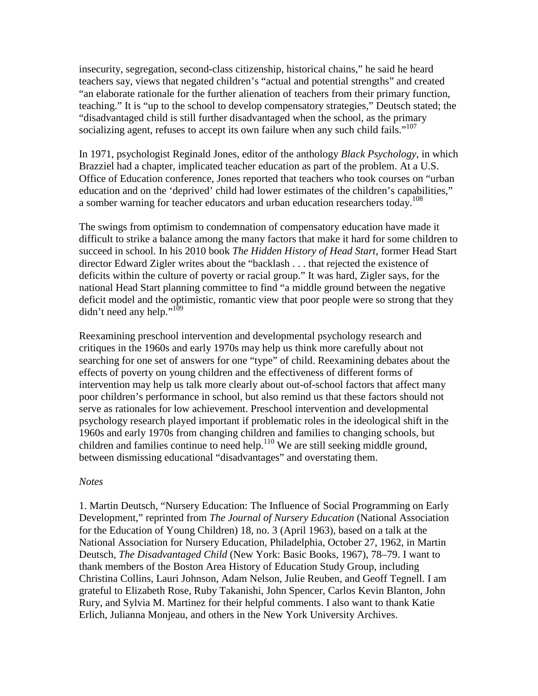insecurity, segregation, second-class citizenship, historical chains," he said he heard teachers say, views that negated children's "actual and potential strengths" and created "an elaborate rationale for the further alienation of teachers from their primary function, teaching." It is "up to the school to develop compensatory strategies," Deutsch stated; the "disadvantaged child is still further disadvantaged when the school, as the primary socializing agent, refuses to accept its own failure when any such child fails."<sup>107</sup>

In 1971, psychologist Reginald Jones, editor of the anthology *Black Psychology*, in which Brazziel had a chapter, implicated teacher education as part of the problem. At a U.S. Office of Education conference, Jones reported that teachers who took courses on "urban education and on the 'deprived' child had lower estimates of the children's capabilities," a somber warning for teacher educators and urban education researchers today.<sup>108</sup>

The swings from optimism to condemnation of compensatory education have made it difficult to strike a balance among the many factors that make it hard for some children to succeed in school. In his 2010 book *The Hidden History of Head Start*, former Head Start director Edward Zigler writes about the "backlash . . . that rejected the existence of deficits within the culture of poverty or racial group." It was hard, Zigler says, for the national Head Start planning committee to find "a middle ground between the negative deficit model and the optimistic, romantic view that poor people were so strong that they didn't need any help."<sup>109</sup>

Reexamining preschool intervention and developmental psychology research and critiques in the 1960s and early 1970s may help us think more carefully about not searching for one set of answers for one "type" of child. Reexamining debates about the effects of poverty on young children and the effectiveness of different forms of intervention may help us talk more clearly about out-of-school factors that affect many poor children's performance in school, but also remind us that these factors should not serve as rationales for low achievement. Preschool intervention and developmental psychology research played important if problematic roles in the ideological shift in the 1960s and early 1970s from changing children and families to changing schools, but children and families continue to need help.<sup>110</sup> We are still seeking middle ground, between dismissing educational "disadvantages" and overstating them.

#### *Notes*

1. Martin Deutsch, "Nursery Education: The Influence of Social Programming on Early Development," reprinted from *The Journal of Nursery Education* (National Association for the Education of Young Children) 18, no. 3 (April 1963), based on a talk at the National Association for Nursery Education, Philadelphia, October 27, 1962, in Martin Deutsch, *The Disadvantaged Child* (New York: Basic Books, 1967), 78–79. I want to thank members of the Boston Area History of Education Study Group, including Christina Collins, Lauri Johnson, Adam Nelson, Julie Reuben, and Geoff Tegnell. I am grateful to Elizabeth Rose, Ruby Takanishi, John Spencer, Carlos Kevin Blanton, John Rury, and Sylvia M. Martinez for their helpful comments. I also want to thank Katie Erlich, Julianna Monjeau, and others in the New York University Archives.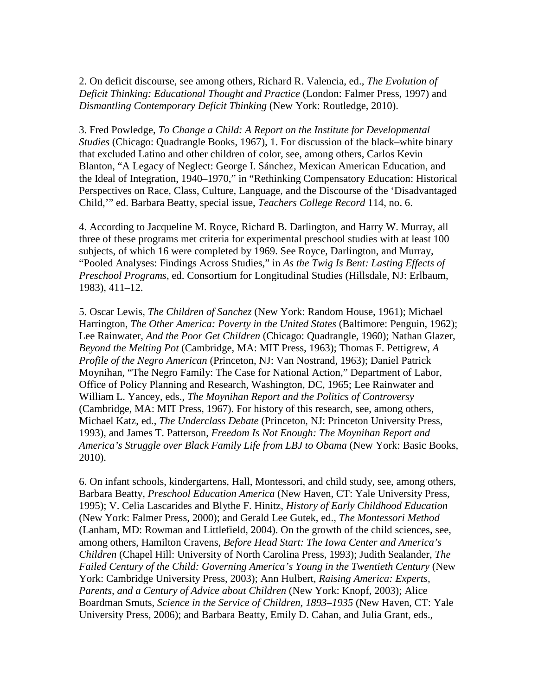2. On deficit discourse, see among others, Richard R. Valencia, ed., *The Evolution of Deficit Thinking: Educational Thought and Practice* (London: Falmer Press, 1997) and *Dismantling Contemporary Deficit Thinking* (New York: Routledge, 2010).

3. Fred Powledge, *To Change a Child: A Report on the Institute for Developmental Studies* (Chicago: Quadrangle Books, 1967)*,* 1. For discussion of the black–white binary that excluded Latino and other children of color, see, among others, Carlos Kevin Blanton, "A Legacy of Neglect: George I. Sánchez, Mexican American Education, and the Ideal of Integration, 1940–1970," in "Rethinking Compensatory Education: Historical Perspectives on Race, Class, Culture, Language, and the Discourse of the 'Disadvantaged Child,'" ed. Barbara Beatty, special issue, *Teachers College Record* 114, no. 6.

4. According to Jacqueline M. Royce, Richard B. Darlington, and Harry W. Murray, all three of these programs met criteria for experimental preschool studies with at least 100 subjects, of which 16 were completed by 1969. See Royce, Darlington, and Murray, "Pooled Analyses: Findings Across Studies," in *As the Twig Is Bent: Lasting Effects of Preschool Programs*, ed. Consortium for Longitudinal Studies (Hillsdale, NJ: Erlbaum, 1983), 411–12.

5. Oscar Lewis, *The Children of Sanchez* (New York: Random House, 1961); Michael Harrington, *The Other America: Poverty in the United States* (Baltimore: Penguin, 1962); Lee Rainwater, *And the Poor Get Children* (Chicago: Quadrangle, 1960); Nathan Glazer, *Beyond the Melting Pot* (Cambridge, MA: MIT Press, 1963); Thomas F. Pettigrew, *A Profile of the Negro American* (Princeton, NJ: Van Nostrand, 1963); Daniel Patrick Moynihan, "The Negro Family: The Case for National Action," Department of Labor, Office of Policy Planning and Research, Washington, DC, 1965; Lee Rainwater and William L. Yancey, eds., *The Moynihan Report and the Politics of Controversy*  (Cambridge, MA: MIT Press, 1967). For history of this research, see, among others, Michael Katz, ed., *The Underclass Debate* (Princeton, NJ: Princeton University Press, 1993), and James T. Patterson, *Freedom Is Not Enough: The Moynihan Report and America's Struggle over Black Family Life from LBJ to Obama* (New York: Basic Books, 2010).

6. On infant schools, kindergartens, Hall, Montessori, and child study, see, among others, Barbara Beatty, *Preschool Education America* (New Haven, CT: Yale University Press, 1995); V. Celia Lascarides and Blythe F. Hinitz, *History of Early Childhood Education*  (New York: Falmer Press, 2000); and Gerald Lee Gutek, ed., *The Montessori Method*  (Lanham, MD: Rowman and Littlefield, 2004). On the growth of the child sciences, see, among others, Hamilton Cravens, *Before Head Start: The Iowa Center and America's Children* (Chapel Hill: University of North Carolina Press, 1993); Judith Sealander, *The*  Failed Century of the Child: Governing America's Young in the Twentieth Century (New York: Cambridge University Press, 2003); Ann Hulbert, *Raising America: Experts, Parents, and a Century of Advice about Children* (New York: Knopf, 2003); Alice Boardman Smuts, *Science in the Service of Children, 1893–1935* (New Haven, CT: Yale University Press, 2006); and Barbara Beatty, Emily D. Cahan, and Julia Grant, eds.,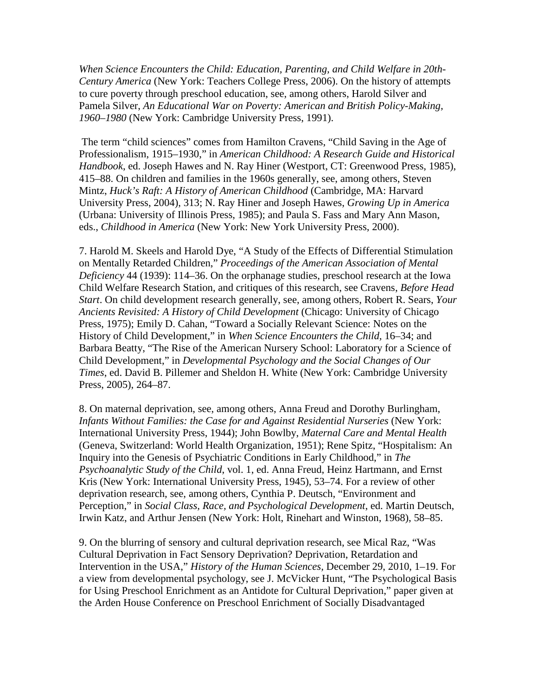*When Science Encounters the Child: Education, Parenting, and Child Welfare in 20th-Century America* (New York: Teachers College Press, 2006). On the history of attempts to cure poverty through preschool education, see, among others, Harold Silver and Pamela Silver, *An Educational War on Poverty: American and British Policy-Making, 1960–1980* (New York: Cambridge University Press, 1991).

The term "child sciences" comes from Hamilton Cravens, "Child Saving in the Age of Professionalism, 1915–1930," in *American Childhood: A Research Guide and Historical Handbook*, ed. Joseph Hawes and N. Ray Hiner (Westport, CT: Greenwood Press, 1985), 415–88. On children and families in the 1960s generally, see, among others, Steven Mintz, *Huck's Raft: A History of American Childhood* (Cambridge, MA: Harvard University Press, 2004), 313; N. Ray Hiner and Joseph Hawes, *Growing Up in America*  (Urbana: University of Illinois Press, 1985); and Paula S. Fass and Mary Ann Mason, eds., *Childhood in America* (New York: New York University Press, 2000).

7. Harold M. Skeels and Harold Dye, "A Study of the Effects of Differential Stimulation on Mentally Retarded Children," *Proceedings of the American Association of Mental Deficiency* 44 (1939): 114–36. On the orphanage studies, preschool research at the Iowa Child Welfare Research Station, and critiques of this research, see Cravens, *Before Head Start*. On child development research generally, see, among others, Robert R. Sears, *Your Ancients Revisited: A History of Child Development* (Chicago: University of Chicago Press, 1975); Emily D. Cahan, "Toward a Socially Relevant Science: Notes on the History of Child Development," in *When Science Encounters the Child,* 16–34; and Barbara Beatty, "The Rise of the American Nursery School: Laboratory for a Science of Child Development," in *Developmental Psychology and the Social Changes of Our Times*, ed. David B. Pillemer and Sheldon H. White (New York: Cambridge University Press, 2005), 264–87.

8. On maternal deprivation, see, among others, Anna Freud and Dorothy Burlingham, *Infants Without Families: the Case for and Against Residential Nurseries (New York:* International University Press, 1944); John Bowlby, *Maternal Care and Mental Health*  (Geneva, Switzerland: World Health Organization, 1951); Rene Spitz, "Hospitalism: An Inquiry into the Genesis of Psychiatric Conditions in Early Childhood," in *The Psychoanalytic Study of the Child*, vol. 1, ed. Anna Freud, Heinz Hartmann, and Ernst Kris (New York: International University Press, 1945), 53–74. For a review of other deprivation research, see, among others, Cynthia P. Deutsch, "Environment and Perception," in *Social Class, Race, and Psychological Development*, ed. Martin Deutsch, Irwin Katz, and Arthur Jensen (New York: Holt, Rinehart and Winston, 1968), 58–85.

9. On the blurring of sensory and cultural deprivation research, see Mical Raz, "Was Cultural Deprivation in Fact Sensory Deprivation? Deprivation, Retardation and Intervention in the USA," *History of the Human Sciences,* December 29, 2010, 1–19. For a view from developmental psychology, see J. McVicker Hunt, "The Psychological Basis for Using Preschool Enrichment as an Antidote for Cultural Deprivation," paper given at the Arden House Conference on Preschool Enrichment of Socially Disadvantaged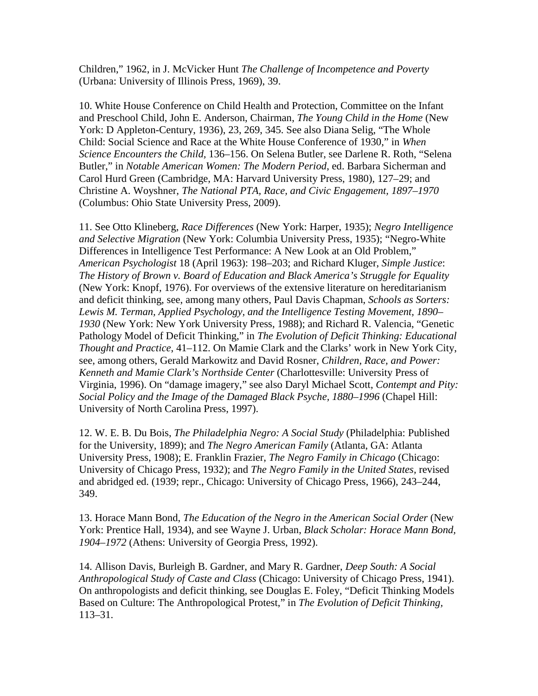Children," 1962, in J. McVicker Hunt *The Challenge of Incompetence and Poverty*  (Urbana: University of Illinois Press, 1969), 39.

10. White House Conference on Child Health and Protection, Committee on the Infant and Preschool Child, John E. Anderson, Chairman, *The Young Child in the Home* (New York: D Appleton-Century, 1936), 23, 269, 345. See also Diana Selig, "The Whole Child: Social Science and Race at the White House Conference of 1930," in *When Science Encounters the Child,* 136–156. On Selena Butler, see Darlene R. Roth, "Selena Butler," in *Notable American Women: The Modern Period*, ed. Barbara Sicherman and Carol Hurd Green (Cambridge, MA: Harvard University Press, 1980), 127–29; and Christine A. Woyshner, *The National PTA, Race, and Civic Engagement, 1897–1970*  (Columbus: Ohio State University Press, 2009).

11. See Otto Klineberg, *Race Differences* (New York: Harper, 1935); *Negro Intelligence and Selective Migration* (New York: Columbia University Press, 1935); "Negro-White Differences in Intelligence Test Performance: A New Look at an Old Problem," *American Psychologist* 18 (April 1963): 198–203; and Richard Kluger, *Simple Justice*: *The History of Brown v. Board of Education and Black America's Struggle for Equality*  (New York: Knopf, 1976). For overviews of the extensive literature on hereditarianism and deficit thinking, see, among many others, Paul Davis Chapman, *Schools as Sorters: Lewis M. Terman, Applied Psychology, and the Intelligence Testing Movement, 1890– 1930* (New York: New York University Press, 1988); and Richard R. Valencia, "Genetic Pathology Model of Deficit Thinking," in *The Evolution of Deficit Thinking: Educational Thought and Practice*, 41–112. On Mamie Clark and the Clarks' work in New York City, see, among others, Gerald Markowitz and David Rosner, *Children, Race, and Power: Kenneth and Mamie Clark's Northside Center* (Charlottesville: University Press of Virginia, 1996). On "damage imagery," see also Daryl Michael Scott, *Contempt and Pity: Social Policy and the Image of the Damaged Black Psyche, 1880–1996* (Chapel Hill: University of North Carolina Press, 1997).

12. W. E. B. Du Bois, *The Philadelphia Negro: A Social Study* (Philadelphia: Published for the University, 1899); and *The Negro American Family* (Atlanta, GA: Atlanta University Press, 1908); E. Franklin Frazier, *The Negro Family in Chicago* (Chicago: University of Chicago Press, 1932); and *The Negro Family in the United States,* revised and abridged ed. (1939; repr., Chicago: University of Chicago Press, 1966), 243–244, 349.

13. Horace Mann Bond, *The Education of the Negro in the American Social Order* (New York: Prentice Hall, 1934), and see Wayne J. Urban, *Black Scholar: Horace Mann Bond, 1904–1972* (Athens: University of Georgia Press, 1992).

14. Allison Davis, Burleigh B. Gardner, and Mary R. Gardner, *Deep South: A Social Anthropological Study of Caste and Class* (Chicago: University of Chicago Press, 1941). On anthropologists and deficit thinking, see Douglas E. Foley, "Deficit Thinking Models Based on Culture: The Anthropological Protest," in *The Evolution of Deficit Thinking,*  113–31.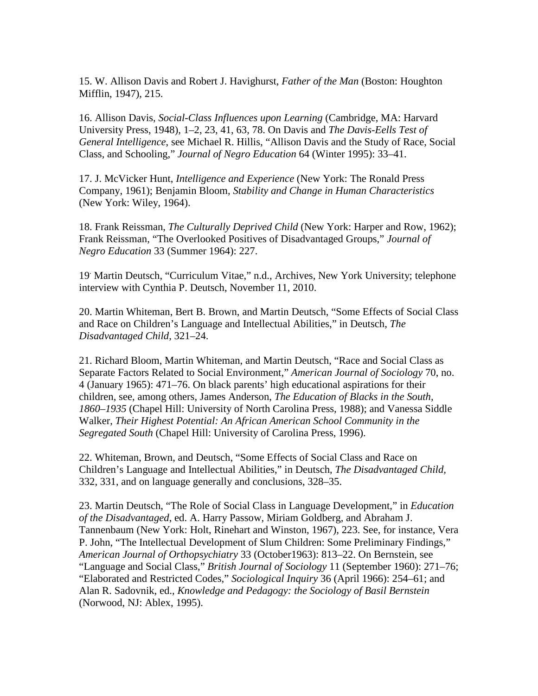15. W. Allison Davis and Robert J. Havighurst, *Father of the Man* (Boston: Houghton Mifflin, 1947), 215.

16. Allison Davis, *Social-Class Influences upon Learning* (Cambridge, MA: Harvard University Press, 1948), 1–2, 23, 41, 63, 78. On Davis and *The Davis-Eells Test of General Intelligence*, see Michael R. Hillis, "Allison Davis and the Study of Race, Social Class, and Schooling," *Journal of Negro Education* 64 (Winter 1995): 33–41.

17. J. McVicker Hunt, *Intelligence and Experience* (New York: The Ronald Press Company, 1961); Benjamin Bloom, *Stability and Change in Human Characteristics*  (New York: Wiley, 1964).

18. Frank Reissman, *The Culturally Deprived Child* (New York: Harper and Row, 1962); Frank Reissman, "The Overlooked Positives of Disadvantaged Groups," *Journal of Negro Education* 33 (Summer 1964): 227.

19. Martin Deutsch, "Curriculum Vitae," n.d., Archives, New York University; telephone interview with Cynthia P. Deutsch, November 11, 2010.

20. Martin Whiteman, Bert B. Brown, and Martin Deutsch, "Some Effects of Social Class and Race on Children's Language and Intellectual Abilities," in Deutsch, *The Disadvantaged Child,* 321–24.

21. Richard Bloom, Martin Whiteman, and Martin Deutsch, "Race and Social Class as Separate Factors Related to Social Environment," *American Journal of Sociology* 70, no. 4 (January 1965): 471–76. On black parents' high educational aspirations for their children, see, among others, James Anderson, *The Education of Blacks in the South, 1860–1935* (Chapel Hill: University of North Carolina Press, 1988); and Vanessa Siddle Walker, *Their Highest Potential: An African American School Community in the Segregated South* (Chapel Hill: University of Carolina Press, 1996).

22. Whiteman, Brown, and Deutsch, "Some Effects of Social Class and Race on Children's Language and Intellectual Abilities," in Deutsch, *The Disadvantaged Child,* 332, 331, and on language generally and conclusions, 328–35.

23. Martin Deutsch, "The Role of Social Class in Language Development," in *Education of the Disadvantaged*, ed. A. Harry Passow, Miriam Goldberg, and Abraham J. Tannenbaum (New York: Holt, Rinehart and Winston, 1967), 223. See, for instance, Vera P. John, "The Intellectual Development of Slum Children: Some Preliminary Findings," *American Journal of Orthopsychiatry* 33 (October1963): 813–22. On Bernstein, see "Language and Social Class," *British Journal of Sociology* 11 (September 1960): 271–76; "Elaborated and Restricted Codes," *Sociological Inquiry* 36 (April 1966): 254–61; and Alan R. Sadovnik, ed., *Knowledge and Pedagogy: the Sociology of Basil Bernstein*  (Norwood, NJ: Ablex, 1995).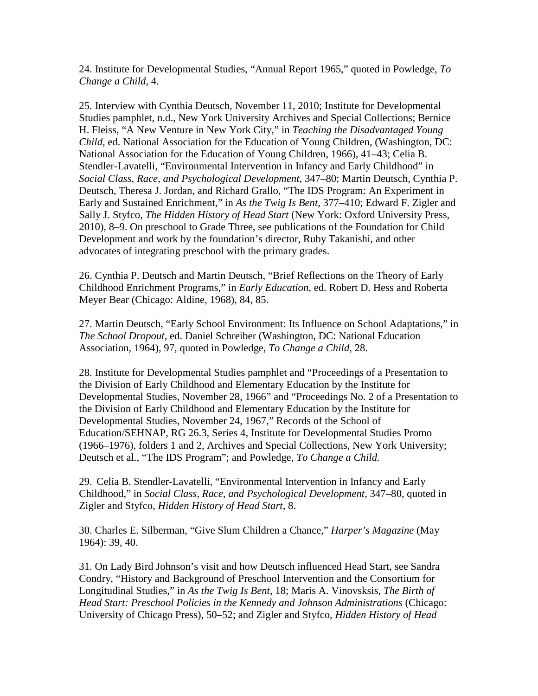24. Institute for Developmental Studies, "Annual Report 1965," quoted in Powledge, *To Change a Child,* 4.

25. Interview with Cynthia Deutsch, November 11, 2010; Institute for Developmental Studies pamphlet, n.d., New York University Archives and Special Collections; Bernice H. Fleiss, "A New Venture in New York City," in *Teaching the Disadvantaged Young Child*, ed. National Association for the Education of Young Children, (Washington, DC: National Association for the Education of Young Children, 1966), 41–43; Celia B. Stendler-Lavatelli, "Environmental Intervention in Infancy and Early Childhood" in *Social Class, Race, and Psychological Development*, 347–80; Martin Deutsch, Cynthia P. Deutsch, Theresa J. Jordan, and Richard Grallo, "The IDS Program: An Experiment in Early and Sustained Enrichment," in *As the Twig Is Bent,* 377–410; Edward F. Zigler and Sally J. Styfco, *The Hidden History of Head Start* (New York: Oxford University Press, 2010), 8–9. On preschool to Grade Three, see publications of the Foundation for Child Development and work by the foundation's director, Ruby Takanishi, and other advocates of integrating preschool with the primary grades.

26. Cynthia P. Deutsch and Martin Deutsch, "Brief Reflections on the Theory of Early Childhood Enrichment Programs," in *Early Education*, ed. Robert D. Hess and Roberta Meyer Bear (Chicago: Aldine, 1968), 84, 85.

27. Martin Deutsch, "Early School Environment: Its Influence on School Adaptations," in *The School Dropout*, ed. Daniel Schreiber (Washington, DC: National Education Association, 1964), 97, quoted in Powledge, *To Change a Child,* 28.

28. Institute for Developmental Studies pamphlet and "Proceedings of a Presentation to the Division of Early Childhood and Elementary Education by the Institute for Developmental Studies, November 28, 1966" and "Proceedings No. 2 of a Presentation to the Division of Early Childhood and Elementary Education by the Institute for Developmental Studies, November 24, 1967," Records of the School of Education/SEHNAP, RG 26.3, Series 4, Institute for Developmental Studies Promo (1966–1976), folders 1 and 2, Archives and Special Collections, New York University; Deutsch et al., "The IDS Program"; and Powledge, *To Change a Child.*

29.. Celia B. Stendler-Lavatelli, "Environmental Intervention in Infancy and Early Childhood," in *Social Class, Race, and Psychological Development,* 347–80, quoted in Zigler and Styfco, *Hidden History of Head Start*, 8.

30. Charles E. Silberman, "Give Slum Children a Chance," *Harper's Magazine* (May 1964): 39, 40.

31. On Lady Bird Johnson's visit and how Deutsch influenced Head Start, see Sandra Condry, "History and Background of Preschool Intervention and the Consortium for Longitudinal Studies," in *As the Twig Is Bent*, 18; Maris A. Vinovsksis, *The Birth of Head Start: Preschool Policies in the Kennedy and Johnson Administrations* (Chicago: University of Chicago Press), 50–52; and Zigler and Styfco, *Hidden History of Head*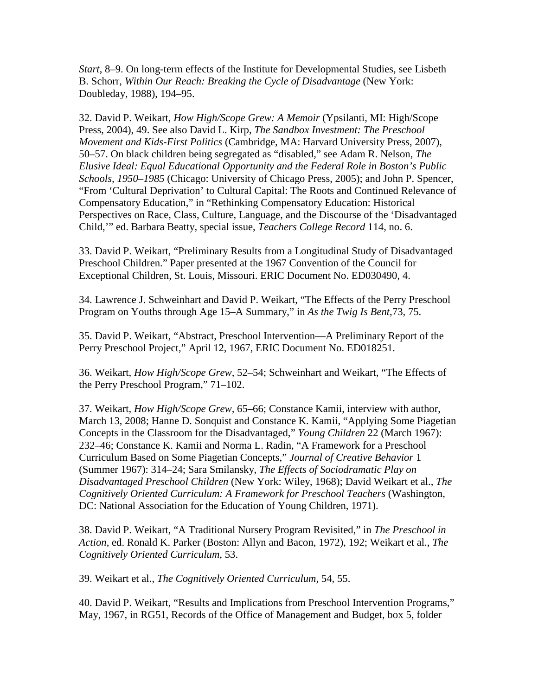*Start*, 8–9. On long-term effects of the Institute for Developmental Studies, see Lisbeth B. Schorr, *Within Our Reach: Breaking the Cycle of Disadvantage* (New York: Doubleday, 1988), 194–95.

32. David P. Weikart, *How High/Scope Grew: A Memoir* (Ypsilanti, MI: High/Scope Press, 2004), 49. See also David L. Kirp, *The Sandbox Investment: The Preschool Movement and Kids-First Politics* (Cambridge, MA: Harvard University Press, 2007), 50–57. On black children being segregated as "disabled," see Adam R. Nelson, *The Elusive Ideal: Equal Educational Opportunity and the Federal Role in Boston's Public Schools, 1950–1985* (Chicago: University of Chicago Press, 2005); and John P. Spencer, "From 'Cultural Deprivation' to Cultural Capital: The Roots and Continued Relevance of Compensatory Education," in "Rethinking Compensatory Education: Historical Perspectives on Race, Class, Culture, Language, and the Discourse of the 'Disadvantaged Child,'" ed. Barbara Beatty, special issue, *Teachers College Record* 114, no. 6.

33. David P. Weikart, "Preliminary Results from a Longitudinal Study of Disadvantaged Preschool Children." Paper presented at the 1967 Convention of the Council for Exceptional Children, St. Louis, Missouri. ERIC Document No. ED030490, 4.

34. Lawrence J. Schweinhart and David P. Weikart, "The Effects of the Perry Preschool Program on Youths through Age 15–A Summary," in *As the Twig Is Bent,*73, 75.

35. David P. Weikart, "Abstract, Preschool Intervention—A Preliminary Report of the Perry Preschool Project," April 12, 1967, ERIC Document No. ED018251.

36. Weikart, *How High/Scope Grew,* 52–54; Schweinhart and Weikart, "The Effects of the Perry Preschool Program," 71–102.

37. Weikart, *How High/Scope Grew,* 65–66; Constance Kamii, interview with author, March 13, 2008; Hanne D. Sonquist and Constance K. Kamii, "Applying Some Piagetian Concepts in the Classroom for the Disadvantaged," *Young Children* 22 (March 1967): 232–46; Constance K. Kamii and Norma L. Radin, "A Framework for a Preschool Curriculum Based on Some Piagetian Concepts," *Journal of Creative Behavior* 1 (Summer 1967): 314–24; Sara Smilansky, *The Effects of Sociodramatic Play on Disadvantaged Preschool Children* (New York: Wiley, 1968); David Weikart et al., *The Cognitively Oriented Curriculum: A Framework for Preschool Teachers* (Washington, DC: National Association for the Education of Young Children, 1971).

38. David P. Weikart, "A Traditional Nursery Program Revisited," in *The Preschool in Action*, ed. Ronald K. Parker (Boston: Allyn and Bacon, 1972), 192; Weikart et al., *The Cognitively Oriented Curriculum,* 53.

39. Weikart et al., *The Cognitively Oriented Curriculum,* 54, 55.

40. David P. Weikart, "Results and Implications from Preschool Intervention Programs," May, 1967, in RG51, Records of the Office of Management and Budget, box 5, folder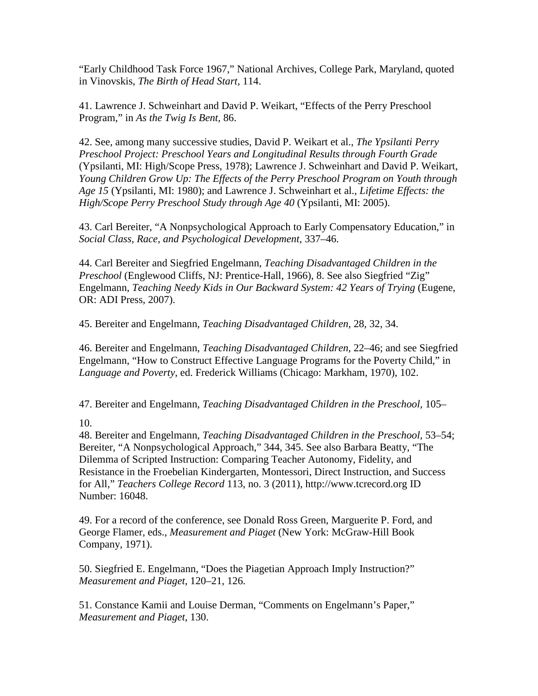"Early Childhood Task Force 1967," National Archives, College Park, Maryland, quoted in Vinovskis, *The Birth of Head Start,* 114.

41. Lawrence J. Schweinhart and David P. Weikart, "Effects of the Perry Preschool Program," in *As the Twig Is Bent,* 86.

42. See, among many successive studies, David P. Weikart et al., *The Ypsilanti Perry Preschool Project: Preschool Years and Longitudinal Results through Fourth Grade*  (Ypsilanti, MI: High/Scope Press, 1978); Lawrence J. Schweinhart and David P. Weikart, *Young Children Grow Up: The Effects of the Perry Preschool Program on Youth through Age 15* (Ypsilanti, MI: 1980); and Lawrence J. Schweinhart et al., *Lifetime Effects: the High/Scope Perry Preschool Study through Age 40* (Ypsilanti, MI: 2005).

43. Carl Bereiter, "A Nonpsychological Approach to Early Compensatory Education," in *Social Class, Race, and Psychological Development*, 337–46.

44. Carl Bereiter and Siegfried Engelmann, *Teaching Disadvantaged Children in the Preschool* (Englewood Cliffs, NJ: Prentice-Hall, 1966), 8. See also Siegfried "Zig" Engelmann, *Teaching Needy Kids in Our Backward System: 42 Years of Trying* (Eugene, OR: ADI Press, 2007).

45. Bereiter and Engelmann, *Teaching Disadvantaged Children,* 28, 32, 34.

46. Bereiter and Engelmann, *Teaching Disadvantaged Children,* 22–46; and see Siegfried Engelmann, "How to Construct Effective Language Programs for the Poverty Child," in *Language and Poverty*, ed. Frederick Williams (Chicago: Markham, 1970), 102.

47. Bereiter and Engelmann, *Teaching Disadvantaged Children in the Preschool,* 105–

10.

48. Bereiter and Engelmann, *Teaching Disadvantaged Children in the Preschool,* 53–54; Bereiter, "A Nonpsychological Approach," 344, 345. See also Barbara Beatty, "The Dilemma of Scripted Instruction: Comparing Teacher Autonomy, Fidelity, and Resistance in the Froebelian Kindergarten, Montessori, Direct Instruction, and Success for All," *Teachers College Record* 113, no. 3 (2011), http://www.tcrecord.org ID Number: 16048.

49. For a record of the conference, see Donald Ross Green, Marguerite P. Ford, and George Flamer, eds., *Measurement and Piaget* (New York: McGraw-Hill Book Company, 1971).

50. Siegfried E. Engelmann, "Does the Piagetian Approach Imply Instruction?" *Measurement and Piaget*, 120–21, 126.

51. Constance Kamii and Louise Derman, "Comments on Engelmann's Paper," *Measurement and Piaget*, 130.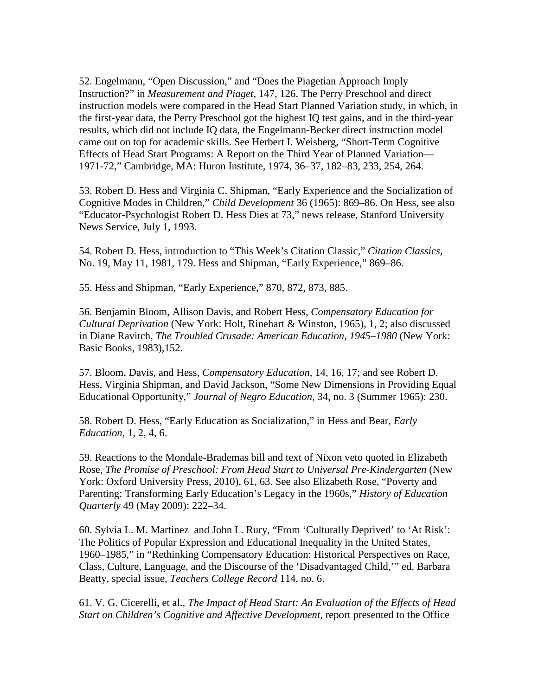52. Engelmann, "Open Discussion," and "Does the Piagetian Approach Imply Instruction?" in *Measurement and Piaget,* 147, 126. The Perry Preschool and direct instruction models were compared in the Head Start Planned Variation study, in which, in the first-year data, the Perry Preschool got the highest IQ test gains, and in the third-year results, which did not include IQ data, the Engelmann-Becker direct instruction model came out on top for academic skills. See Herbert I. Weisberg, "Short-Term Cognitive Effects of Head Start Programs: A Report on the Third Year of Planned Variation— 1971-72," Cambridge, MA: Huron Institute, 1974, 36–37, 182–83, 233, 254, 264.

53. Robert D. Hess and Virginia C. Shipman, "Early Experience and the Socialization of Cognitive Modes in Children," *Child Development* 36 (1965): 869–86. On Hess, see also "Educator-Psychologist Robert D. Hess Dies at 73," news release, Stanford University News Service, July 1, 1993.

54. Robert D. Hess, introduction to "This Week's Citation Classic," *Citation Classics,*  No. 19, May 11, 1981, 179. Hess and Shipman, "Early Experience," 869–86.

55. Hess and Shipman, "Early Experience," 870, 872, 873, 885.

56. Benjamin Bloom, Allison Davis, and Robert Hess, *Compensatory Education for Cultural Deprivation* (New York: Holt, Rinehart & Winston, 1965), 1, 2; also discussed in Diane Ravitch, *The Troubled Crusade: American Education, 1945–1980* (New York: Basic Books, 1983),152.

57. Bloom, Davis, and Hess, *Compensatory Education,* 14, 16, 17; and see Robert D. Hess, Virginia Shipman, and David Jackson, "Some New Dimensions in Providing Equal Educational Opportunity," *Journal of Negro Education,* 34, no. 3 (Summer 1965): 230.

58. Robert D. Hess, "Early Education as Socialization," in Hess and Bear, *Early Education,* 1, 2, 4, 6.

59. Reactions to the Mondale-Brademas bill and text of Nixon veto quoted in Elizabeth Rose, *The Promise of Preschool: From Head Start to Universal Pre-Kindergarten* (New York: Oxford University Press, 2010), 61, 63. See also Elizabeth Rose, "Poverty and Parenting: Transforming Early Education's Legacy in the 1960s," *History of Education Quarterly* 49 (May 2009): 222–34.

60. Sylvia L. M. Martinez and John L. Rury, "From 'Culturally Deprived' to 'At Risk': The Politics of Popular Expression and Educational Inequality in the United States, 1960–1985," in "Rethinking Compensatory Education: Historical Perspectives on Race, Class, Culture, Language, and the Discourse of the 'Disadvantaged Child,'" ed. Barbara Beatty, special issue, *Teachers College Record* 114, no. 6.

61. V. G. Cicerelli, et al., *The Impact of Head Start: An Evaluation of the Effects of Head Start on Children's Cognitive and Affective Development, report presented to the Office*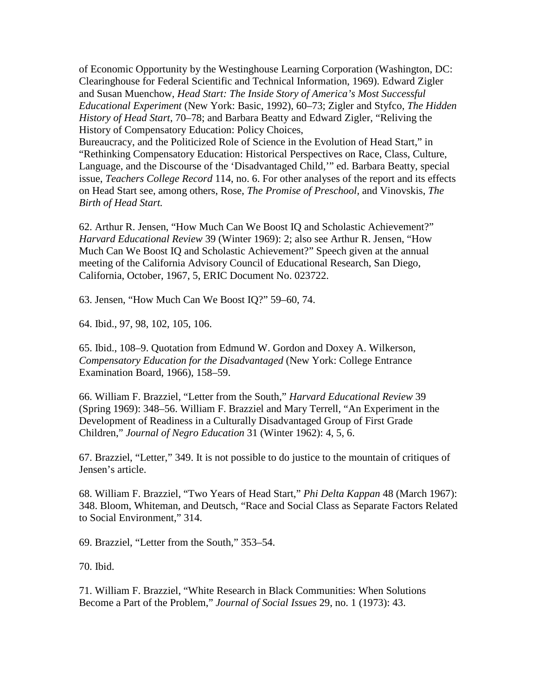of Economic Opportunity by the Westinghouse Learning Corporation (Washington, DC: Clearinghouse for Federal Scientific and Technical Information, 1969). Edward Zigler and Susan Muenchow, *Head Start: The Inside Story of America's Most Successful Educational Experiment* (New York: Basic, 1992), 60–73; Zigler and Styfco, *The Hidden History of Head Start*, 70–78; and Barbara Beatty and Edward Zigler, "Reliving the History of Compensatory Education: Policy Choices,

Bureaucracy, and the Politicized Role of Science in the Evolution of Head Start," in "Rethinking Compensatory Education: Historical Perspectives on Race, Class, Culture, Language, and the Discourse of the 'Disadvantaged Child,'" ed. Barbara Beatty, special issue, *Teachers College Record* 114, no. 6. For other analyses of the report and its effects on Head Start see, among others, Rose, *The Promise of Preschool,* and Vinovskis, *The Birth of Head Start.*

62. Arthur R. Jensen, "How Much Can We Boost IQ and Scholastic Achievement?" *Harvard Educational Review* 39 (Winter 1969): 2; also see Arthur R. Jensen, "How Much Can We Boost IQ and Scholastic Achievement?" Speech given at the annual meeting of the California Advisory Council of Educational Research, San Diego, California, October, 1967, 5, ERIC Document No. 023722.

63. Jensen, "How Much Can We Boost IQ?" 59–60, 74.

64. Ibid., 97, 98, 102, 105, 106.

65. Ibid., 108–9. Quotation from Edmund W. Gordon and Doxey A. Wilkerson, *Compensatory Education for the Disadvantaged* (New York: College Entrance Examination Board, 1966), 158–59.

66. William F. Brazziel, "Letter from the South," *Harvard Educational Review* 39 (Spring 1969): 348–56. William F. Brazziel and Mary Terrell, "An Experiment in the Development of Readiness in a Culturally Disadvantaged Group of First Grade Children," *Journal of Negro Education* 31 (Winter 1962): 4, 5, 6.

67. Brazziel, "Letter," 349. It is not possible to do justice to the mountain of critiques of Jensen's article.

68. William F. Brazziel, "Two Years of Head Start," *Phi Delta Kappan* 48 (March 1967): 348. Bloom, Whiteman, and Deutsch, "Race and Social Class as Separate Factors Related to Social Environment," 314.

69. Brazziel, "Letter from the South," 353–54.

70. Ibid.

71. William F. Brazziel, "White Research in Black Communities: When Solutions Become a Part of the Problem," *Journal of Social Issues* 29, no. 1 (1973): 43.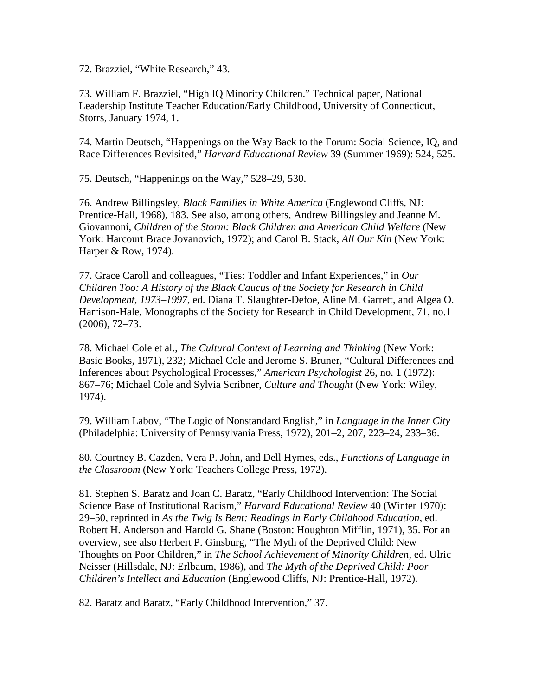72. Brazziel, "White Research," 43.

73. William F. Brazziel, "High IQ Minority Children." Technical paper*,* National Leadership Institute Teacher Education/Early Childhood, University of Connecticut, Storrs, January 1974, 1.

74. Martin Deutsch, "Happenings on the Way Back to the Forum: Social Science, IQ, and Race Differences Revisited," *Harvard Educational Review* 39 (Summer 1969): 524, 525.

75. Deutsch, "Happenings on the Way," 528–29, 530.

76. Andrew Billingsley, *Black Families in White America* (Englewood Cliffs, NJ: Prentice-Hall, 1968), 183. See also, among others, Andrew Billingsley and Jeanne M. Giovannoni, *Children of the Storm: Black Children and American Child Welfare* (New York: Harcourt Brace Jovanovich, 1972); and Carol B. Stack, *All Our Kin* (New York: Harper & Row, 1974).

77. Grace Caroll and colleagues, "Ties: Toddler and Infant Experiences," in *Our Children Too: A History of the Black Caucus of the Society for Research in Child Development, 1973–1997*, ed. Diana T. Slaughter-Defoe, Aline M. Garrett, and Algea O. Harrison-Hale, Monographs of the Society for Research in Child Development, 71, no.1 (2006), 72–73.

78. Michael Cole et al., *The Cultural Context of Learning and Thinking* (New York: Basic Books, 1971), 232; Michael Cole and Jerome S. Bruner, "Cultural Differences and Inferences about Psychological Processes," *American Psychologist* 26, no. 1 (1972): 867–76; Michael Cole and Sylvia Scribner, *Culture and Thought* (New York: Wiley, 1974).

79. William Labov, "The Logic of Nonstandard English," in *Language in the Inner City*  (Philadelphia: University of Pennsylvania Press, 1972), 201–2, 207, 223–24, 233–36.

80. Courtney B. Cazden, Vera P. John, and Dell Hymes, eds., *Functions of Language in the Classroom* (New York: Teachers College Press, 1972).

81. Stephen S. Baratz and Joan C. Baratz, "Early Childhood Intervention: The Social Science Base of Institutional Racism," *Harvard Educational Review* 40 (Winter 1970): 29–50, reprinted in *As the Twig Is Bent: Readings in Early Childhood Education*, ed. Robert H. Anderson and Harold G. Shane (Boston: Houghton Mifflin, 1971), 35. For an overview, see also Herbert P. Ginsburg, "The Myth of the Deprived Child: New Thoughts on Poor Children," in *The School Achievement of Minority Children*, ed. Ulric Neisser (Hillsdale, NJ: Erlbaum, 1986), and *The Myth of the Deprived Child: Poor Children's Intellect and Education* (Englewood Cliffs, NJ: Prentice-Hall, 1972).

82. Baratz and Baratz, "Early Childhood Intervention," 37.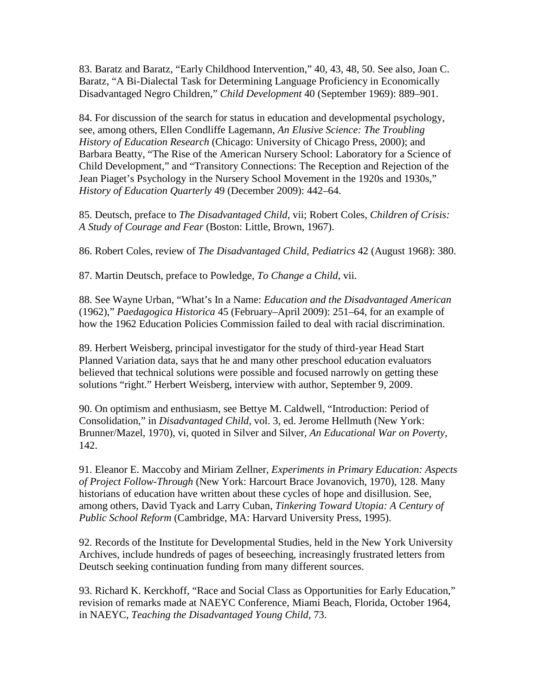83. Baratz and Baratz, "Early Childhood Intervention," 40, 43, 48, 50. See also, Joan C. Baratz, "A Bi-Dialectal Task for Determining Language Proficiency in Economically Disadvantaged Negro Children," *Child Development* 40 (September 1969): 889–901.

84. For discussion of the search for status in education and developmental psychology, see, among others, Ellen Condliffe Lagemann, *An Elusive Science: The Troubling History of Education Research* (Chicago: University of Chicago Press, 2000); and Barbara Beatty, "The Rise of the American Nursery School: Laboratory for a Science of Child Development," and "Transitory Connections: The Reception and Rejection of the Jean Piaget's Psychology in the Nursery School Movement in the 1920s and 1930s," *History of Education Quarterly* 49 (December 2009): 442–64.

85. Deutsch, preface to *The Disadvantaged Child*, vii; Robert Coles, *Children of Crisis: A Study of Courage and Fear* (Boston: Little, Brown, 1967).

86. Robert Coles, review of *The Disadvantaged Child, Pediatrics* 42 (August 1968): 380.

87. Martin Deutsch, preface to Powledge, *To Change a Child*, vii.

88. See Wayne Urban, "What's In a Name: *Education and the Disadvantaged American* (1962)," *Paedagogica Historica* 45 (February–April 2009): 251–64, for an example of how the 1962 Education Policies Commission failed to deal with racial discrimination.

89. Herbert Weisberg, principal investigator for the study of third-year Head Start Planned Variation data, says that he and many other preschool education evaluators believed that technical solutions were possible and focused narrowly on getting these solutions "right." Herbert Weisberg, interview with author, September 9, 2009.

90. On optimism and enthusiasm, see Bettye M. Caldwell, "Introduction: Period of Consolidation," in *Disadvantaged Child*, vol. 3, ed. Jerome Hellmuth (New York: Brunner/Mazel, 1970), vi, quoted in Silver and Silver, *An Educational War on Poverty,*  142.

91. Eleanor E. Maccoby and Miriam Zellner, *Experiments in Primary Education: Aspects of Project Follow-Through* (New York: Harcourt Brace Jovanovich, 1970), 128. Many historians of education have written about these cycles of hope and disillusion. See, among others, David Tyack and Larry Cuban, *Tinkering Toward Utopia: A Century of Public School Reform* (Cambridge, MA: Harvard University Press, 1995).

92. Records of the Institute for Developmental Studies, held in the New York University Archives, include hundreds of pages of beseeching, increasingly frustrated letters from Deutsch seeking continuation funding from many different sources.

93. Richard K. Kerckhoff, "Race and Social Class as Opportunities for Early Education," revision of remarks made at NAEYC Conference, Miami Beach, Florida, October 1964, in NAEYC, *Teaching the Disadvantaged Young Child,* 73.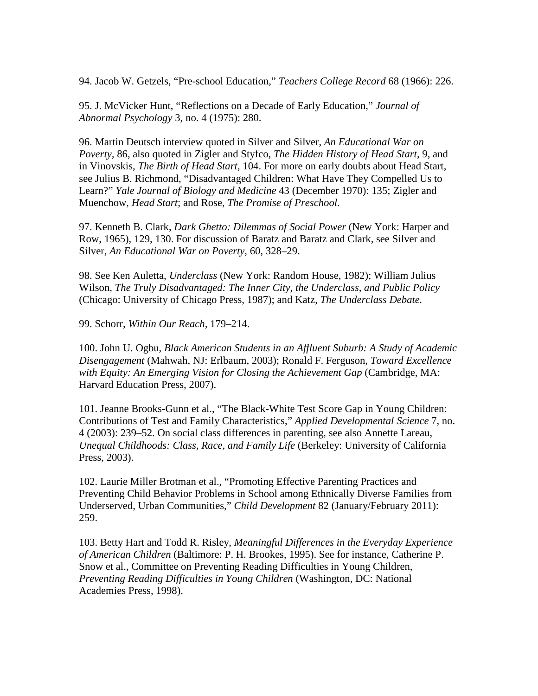94. Jacob W. Getzels, "Pre-school Education," *Teachers College Record* 68 (1966): 226.

95. J. McVicker Hunt, "Reflections on a Decade of Early Education," *Journal of Abnormal Psychology* 3, no. 4 (1975): 280.

96. Martin Deutsch interview quoted in Silver and Silver, *An Educational War on Poverty,* 86, also quoted in Zigler and Styfco, *The Hidden History of Head Start,* 9, and in Vinovskis, *The Birth of Head Start*, 104. For more on early doubts about Head Start, see Julius B. Richmond, "Disadvantaged Children: What Have They Compelled Us to Learn?" *Yale Journal of Biology and Medicine* 43 (December 1970): 135; Zigler and Muenchow, *Head Start*; and Rose, *The Promise of Preschool.*

97. Kenneth B. Clark, *Dark Ghetto: Dilemmas of Social Power* (New York: Harper and Row, 1965)*,* 129, 130. For discussion of Baratz and Baratz and Clark, see Silver and Silver, *An Educational War on Poverty,* 60, 328–29.

98. See Ken Auletta, *Underclass* (New York: Random House, 1982); William Julius Wilson, *The Truly Disadvantaged: The Inner City, the Underclass, and Public Policy*  (Chicago: University of Chicago Press, 1987); and Katz, *The Underclass Debate.*

99. Schorr, *Within Our Reach,* 179–214.

100. John U. Ogbu, *Black American Students in an Affluent Suburb: A Study of Academic Disengagement* (Mahwah, NJ: Erlbaum, 2003); Ronald F. Ferguson, *Toward Excellence*  with Equity: An Emerging Vision for Closing the Achievement Gap (Cambridge, MA: Harvard Education Press, 2007).

101. Jeanne Brooks-Gunn et al., "The Black-White Test Score Gap in Young Children: Contributions of Test and Family Characteristics," *Applied Developmental Science* 7, no. 4 (2003): 239–52. On social class differences in parenting, see also Annette Lareau, *Unequal Childhoods: Class, Race, and Family Life* (Berkeley: University of California Press, 2003).

102. Laurie Miller Brotman et al., "Promoting Effective Parenting Practices and Preventing Child Behavior Problems in School among Ethnically Diverse Families from Underserved, Urban Communities," *Child Development* 82 (January/February 2011): 259.

103. Betty Hart and Todd R. Risley, *Meaningful Differences in the Everyday Experience of American Children* (Baltimore: P. H. Brookes, 1995). See for instance, Catherine P. Snow et al., Committee on Preventing Reading Difficulties in Young Children, *Preventing Reading Difficulties in Young Children* (Washington, DC: National Academies Press, 1998).